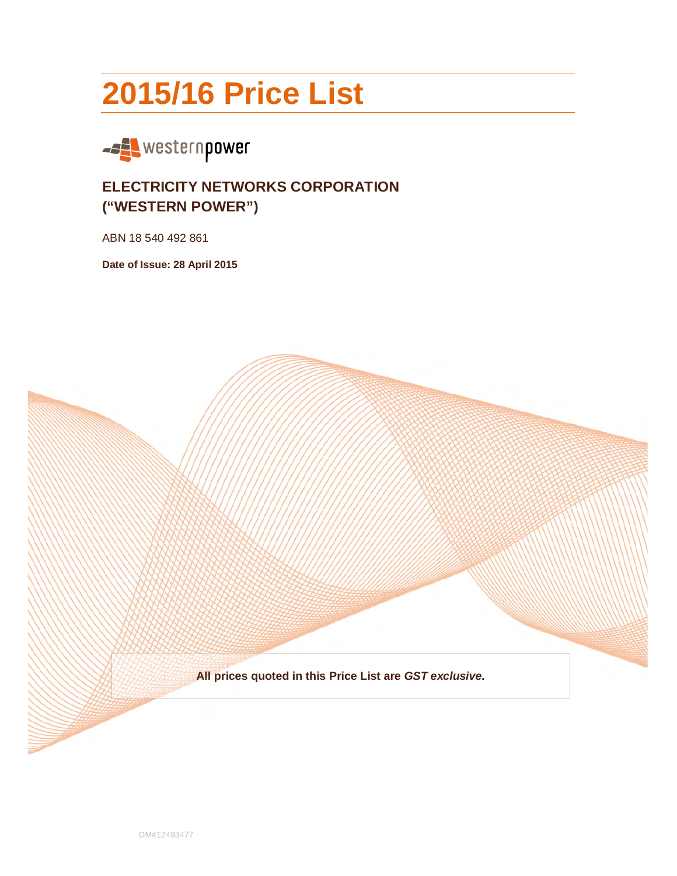# **2015/16 Price List**



# **ELECTRICITY NETWORKS CORPORATION ("WESTERN POWER")**

ABN 18 540 492 861

**Date of Issue: 28 April 2015** 

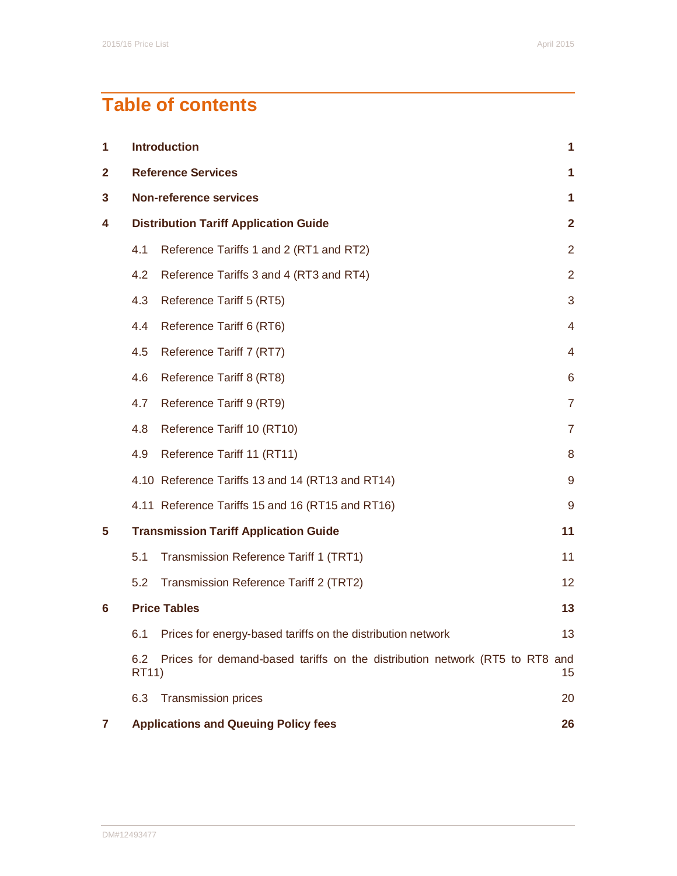# **Table of contents**

| 1            |                                              | <b>Introduction</b><br>1                                                    |                 |  |
|--------------|----------------------------------------------|-----------------------------------------------------------------------------|-----------------|--|
| $\mathbf{2}$ | <b>Reference Services</b>                    |                                                                             |                 |  |
| 3            | <b>Non-reference services</b>                |                                                                             |                 |  |
| 4            | <b>Distribution Tariff Application Guide</b> |                                                                             |                 |  |
|              | 4.1                                          | Reference Tariffs 1 and 2 (RT1 and RT2)                                     | $\overline{2}$  |  |
|              | 4.2                                          | Reference Tariffs 3 and 4 (RT3 and RT4)                                     | $\overline{2}$  |  |
|              | 4.3                                          | Reference Tariff 5 (RT5)                                                    | 3               |  |
|              | 4.4                                          | Reference Tariff 6 (RT6)                                                    | 4               |  |
|              | 4.5                                          | Reference Tariff 7 (RT7)                                                    | 4               |  |
|              | 4.6                                          | Reference Tariff 8 (RT8)                                                    | 6               |  |
|              | 4.7                                          | Reference Tariff 9 (RT9)                                                    | 7               |  |
|              | 4.8                                          | Reference Tariff 10 (RT10)                                                  | $\overline{7}$  |  |
|              | 4.9                                          | Reference Tariff 11 (RT11)                                                  | 8               |  |
|              |                                              | 4.10 Reference Tariffs 13 and 14 (RT13 and RT14)                            | 9               |  |
|              |                                              | 4.11 Reference Tariffs 15 and 16 (RT15 and RT16)                            | 9               |  |
| 5            |                                              | <b>Transmission Tariff Application Guide</b>                                | 11              |  |
|              | 5.1                                          | Transmission Reference Tariff 1 (TRT1)                                      | 11              |  |
|              | 5.2                                          | Transmission Reference Tariff 2 (TRT2)                                      | 12 <sub>2</sub> |  |
| 6            |                                              | <b>Price Tables</b>                                                         | 13              |  |
|              |                                              | 6.1 Prices for energy-based tariffs on the distribution network             | 13              |  |
|              | 6.2<br><b>RT11</b> )                         | Prices for demand-based tariffs on the distribution network (RT5 to RT8 and | 15              |  |
|              | 6.3                                          | <b>Transmission prices</b>                                                  | 20              |  |
| 7            |                                              | <b>Applications and Queuing Policy fees</b>                                 | 26              |  |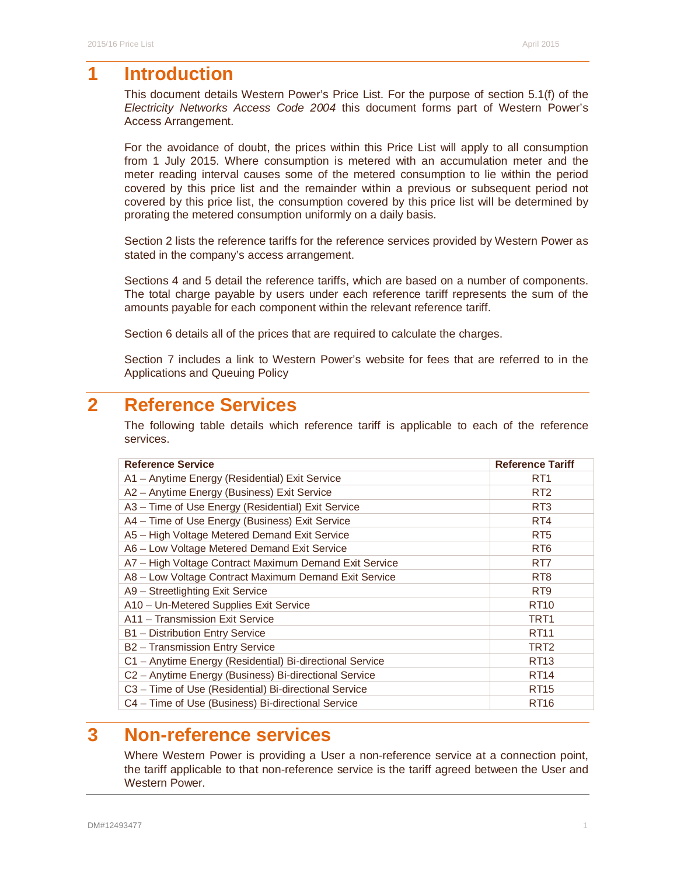# **1 Introduction**

This document details Western Power's Price List. For the purpose of section 5.1(f) of the Electricity Networks Access Code 2004 this document forms part of Western Power's Access Arrangement.

For the avoidance of doubt, the prices within this Price List will apply to all consumption from 1 July 2015. Where consumption is metered with an accumulation meter and the meter reading interval causes some of the metered consumption to lie within the period covered by this price list and the remainder within a previous or subsequent period not covered by this price list, the consumption covered by this price list will be determined by prorating the metered consumption uniformly on a daily basis.

Section 2 lists the reference tariffs for the reference services provided by Western Power as stated in the company's access arrangement.

Sections 4 and 5 detail the reference tariffs, which are based on a number of components. The total charge payable by users under each reference tariff represents the sum of the amounts payable for each component within the relevant reference tariff.

Section 6 details all of the prices that are required to calculate the charges.

Section 7 includes a link to Western Power's website for fees that are referred to in the Applications and Queuing Policy

# **2 Reference Services**

The following table details which reference tariff is applicable to each of the reference services.

| <b>Reference Service</b>                                 | <b>Reference Tariff</b> |
|----------------------------------------------------------|-------------------------|
| A1 - Anytime Energy (Residential) Exit Service           | RT <sub>1</sub>         |
| A2 - Anytime Energy (Business) Exit Service              | R <sub>T2</sub>         |
| A3 - Time of Use Energy (Residential) Exit Service       | R <sub>T</sub> 3        |
| A4 - Time of Use Energy (Business) Exit Service          | RT4                     |
| A5 - High Voltage Metered Demand Exit Service            | R <sub>T5</sub>         |
| A6 - Low Voltage Metered Demand Exit Service             | R <sub>T6</sub>         |
| A7 - High Voltage Contract Maximum Demand Exit Service   | RT7                     |
| A8 - Low Voltage Contract Maximum Demand Exit Service    | R <sub>T</sub> 8        |
| A9 - Streetlighting Exit Service                         | R <sub>T9</sub>         |
| A10 - Un-Metered Supplies Exit Service                   | <b>RT10</b>             |
| A11 - Transmission Exit Service                          | TRT1                    |
| B1 - Distribution Entry Service                          | <b>RT11</b>             |
| B2 - Transmission Entry Service                          | TRT <sub>2</sub>        |
| C1 - Anytime Energy (Residential) Bi-directional Service | RT <sub>13</sub>        |
| C2 - Anytime Energy (Business) Bi-directional Service    | <b>RT14</b>             |
| C3 - Time of Use (Residential) Bi-directional Service    | <b>RT15</b>             |
| C4 - Time of Use (Business) Bi-directional Service       | <b>RT16</b>             |

# **3 Non-reference services**

Where Western Power is providing a User a non-reference service at a connection point, the tariff applicable to that non-reference service is the tariff agreed between the User and Western Power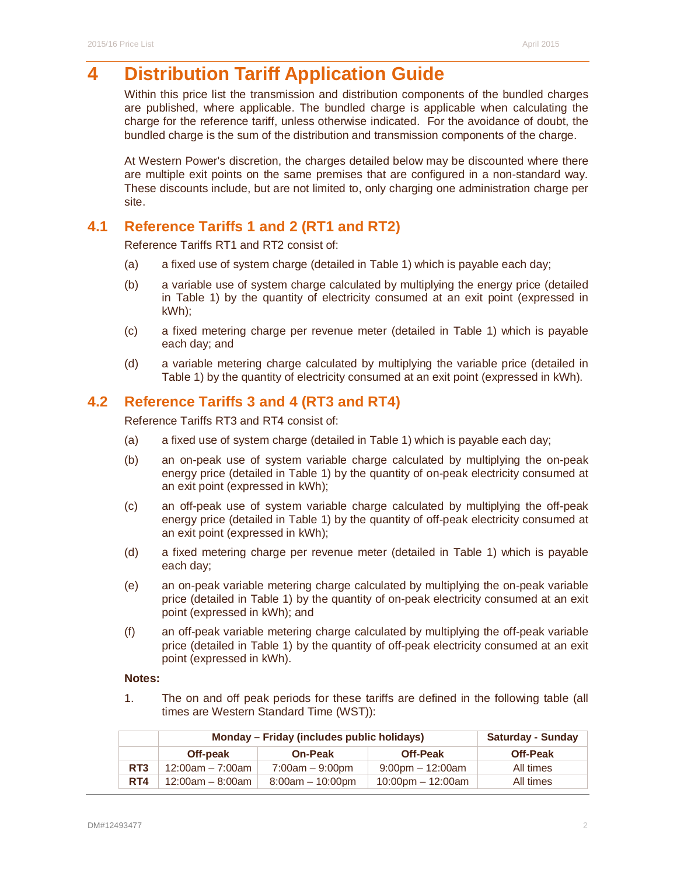# **4 Distribution Tariff Application Guide**

Within this price list the transmission and distribution components of the bundled charges are published, where applicable. The bundled charge is applicable when calculating the charge for the reference tariff, unless otherwise indicated. For the avoidance of doubt, the bundled charge is the sum of the distribution and transmission components of the charge.

At Western Power's discretion, the charges detailed below may be discounted where there are multiple exit points on the same premises that are configured in a non-standard way. These discounts include, but are not limited to, only charging one administration charge per site.

# **4.1 Reference Tariffs 1 and 2 (RT1 and RT2)**

Reference Tariffs RT1 and RT2 consist of:

- (a) a fixed use of system charge (detailed in Table 1) which is payable each day;
- (b) a variable use of system charge calculated by multiplying the energy price (detailed in Table 1) by the quantity of electricity consumed at an exit point (expressed in kWh);
- (c) a fixed metering charge per revenue meter (detailed in Table 1) which is payable each day; and
- (d) a variable metering charge calculated by multiplying the variable price (detailed in Table 1) by the quantity of electricity consumed at an exit point (expressed in kWh).

# **4.2 Reference Tariffs 3 and 4 (RT3 and RT4)**

Reference Tariffs RT3 and RT4 consist of:

- (a) a fixed use of system charge (detailed in Table 1) which is payable each day;
- (b) an on-peak use of system variable charge calculated by multiplying the on-peak energy price (detailed in Table 1) by the quantity of on-peak electricity consumed at an exit point (expressed in kWh);
- (c) an off-peak use of system variable charge calculated by multiplying the off-peak energy price (detailed in Table 1) by the quantity of off-peak electricity consumed at an exit point (expressed in kWh);
- (d) a fixed metering charge per revenue meter (detailed in Table 1) which is payable each day;
- (e) an on-peak variable metering charge calculated by multiplying the on-peak variable price (detailed in Table 1) by the quantity of on-peak electricity consumed at an exit point (expressed in kWh); and
- (f) an off-peak variable metering charge calculated by multiplying the off-peak variable price (detailed in Table 1) by the quantity of off-peak electricity consumed at an exit point (expressed in kWh).

#### **Notes:**

1. The on and off peak periods for these tariffs are defined in the following table (all times are Western Standard Time (WST)):

|                 | Monday – Friday (includes public holidays) |                    |                        | <b>Saturday - Sunday</b> |
|-----------------|--------------------------------------------|--------------------|------------------------|--------------------------|
|                 | Off-peak                                   | <b>On-Peak</b>     | <b>Off-Peak</b>        | <b>Off-Peak</b>          |
| RT <sub>3</sub> | $12:00am - 7:00am$                         | $7:00am - 9:00pm$  | $9:00$ pm $-12:00$ am  | All times                |
| RT4             | $12:00am - 8:00am$                         | $8:00am - 10:00pm$ | $10:00$ pm $-12:00$ am | All times                |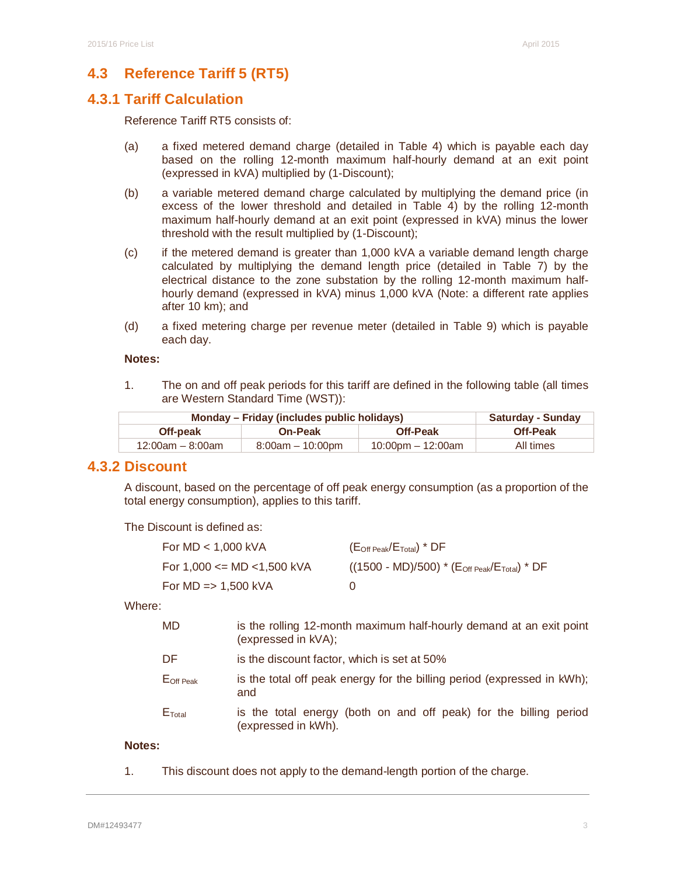# **4.3 Reference Tariff 5 (RT5)**

# **4.3.1 Tariff Calculation**

Reference Tariff RT5 consists of:

- (a) a fixed metered demand charge (detailed in Table 4) which is payable each day based on the rolling 12-month maximum half-hourly demand at an exit point (expressed in kVA) multiplied by (1-Discount);
- (b) a variable metered demand charge calculated by multiplying the demand price (in excess of the lower threshold and detailed in Table 4) by the rolling 12-month maximum half-hourly demand at an exit point (expressed in kVA) minus the lower threshold with the result multiplied by (1-Discount);
- (c) if the metered demand is greater than 1,000 kVA a variable demand length charge calculated by multiplying the demand length price (detailed in Table 7) by the electrical distance to the zone substation by the rolling 12-month maximum halfhourly demand (expressed in kVA) minus 1,000 kVA (Note: a different rate applies after 10 km); and
- (d) a fixed metering charge per revenue meter (detailed in Table 9) which is payable each day.

### **Notes:**

1. The on and off peak periods for this tariff are defined in the following table (all times are Western Standard Time (WST)):

| Monday – Friday (includes public holidays) | <b>Saturday - Sunday</b> |                   |                 |
|--------------------------------------------|--------------------------|-------------------|-----------------|
| Off-peak                                   | <b>On-Peak</b>           | <b>Off-Peak</b>   | <b>Off-Peak</b> |
| 12:00am – 8:00am                           | $8:00am - 10:00pm$       | 10:00pm – 12:00am | All times       |

### **4.3.2 Discount**

A discount, based on the percentage of off peak energy consumption (as a proportion of the total energy consumption), applies to this tariff.

The Discount is defined as:

| For $MD < 1,000$ kVA                | $(\mathsf{E}_\mathsf{Off\,Peak}/\mathsf{E}_\mathsf{Total})$ * $\mathsf{DF}$ |
|-------------------------------------|-----------------------------------------------------------------------------|
| For 1,000 $\leq$ MD $\lt$ 1,500 kVA | $((1500 - M D)/500) * (E_{Off\, Peak}/E_{Total}) * DF$                      |
| For $MD \Rightarrow 1,500$ kVA      | $\left( \right)$                                                            |

Where:

| <b>MD</b>             | is the rolling 12-month maximum half-hourly demand at an exit point<br>(expressed in kVA); |
|-----------------------|--------------------------------------------------------------------------------------------|
| DF                    | is the discount factor, which is set at 50%                                                |
| $E_{\text{Off Peak}}$ | is the total off peak energy for the billing period (expressed in kWh);<br>and             |
| $E_{\text{Total}}$    | is the total energy (both on and off peak) for the billing period<br>(expressed in kWh).   |

#### **Notes:**

1. This discount does not apply to the demand-length portion of the charge.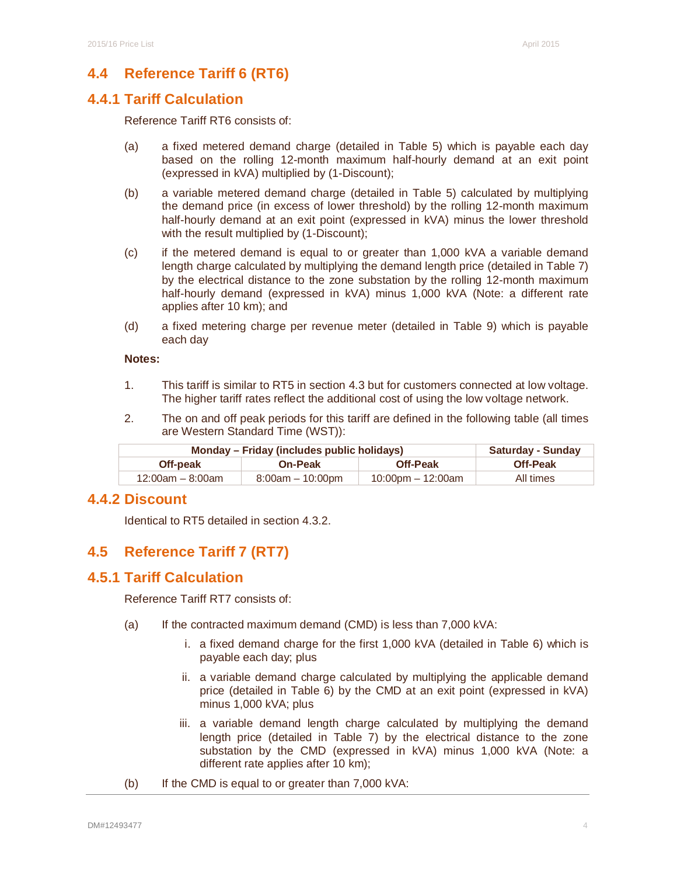# **4.4 Reference Tariff 6 (RT6)**

# **4.4.1 Tariff Calculation**

Reference Tariff RT6 consists of:

- (a) a fixed metered demand charge (detailed in Table 5) which is payable each day based on the rolling 12-month maximum half-hourly demand at an exit point (expressed in kVA) multiplied by (1-Discount);
- (b) a variable metered demand charge (detailed in Table 5) calculated by multiplying the demand price (in excess of lower threshold) by the rolling 12-month maximum half-hourly demand at an exit point (expressed in kVA) minus the lower threshold with the result multiplied by (1-Discount);
- (c) if the metered demand is equal to or greater than 1,000 kVA a variable demand length charge calculated by multiplying the demand length price (detailed in Table 7) by the electrical distance to the zone substation by the rolling 12-month maximum half-hourly demand (expressed in kVA) minus 1,000 kVA (Note: a different rate applies after 10 km); and
- (d) a fixed metering charge per revenue meter (detailed in Table 9) which is payable each day

#### **Notes:**

- 1. This tariff is similar to RT5 in section 4.3 but for customers connected at low voltage. The higher tariff rates reflect the additional cost of using the low voltage network.
- 2. The on and off peak periods for this tariff are defined in the following table (all times are Western Standard Time (WST)):

| Monday – Friday (includes public holidays) | <b>Saturday - Sunday</b> |                        |                 |
|--------------------------------------------|--------------------------|------------------------|-----------------|
| Off-peak                                   | <b>On-Peak</b>           | <b>Off-Peak</b>        | <b>Off-Peak</b> |
| $12:00$ am – 8:00am                        | $8:00am - 10:00dm$       | $10:00$ pm $-12:00$ am | All times       |

### **4.4.2 Discount**

Identical to RT5 detailed in section 4.3.2.

# **4.5 Reference Tariff 7 (RT7)**

# **4.5.1 Tariff Calculation**

Reference Tariff RT7 consists of:

- (a) If the contracted maximum demand (CMD) is less than 7,000 kVA:
	- i. a fixed demand charge for the first 1,000 kVA (detailed in Table 6) which is payable each day; plus
	- ii. a variable demand charge calculated by multiplying the applicable demand price (detailed in Table 6) by the CMD at an exit point (expressed in kVA) minus 1,000 kVA; plus
	- iii. a variable demand length charge calculated by multiplying the demand length price (detailed in Table 7) by the electrical distance to the zone substation by the CMD (expressed in kVA) minus 1,000 kVA (Note: a different rate applies after 10 km);
- (b) If the CMD is equal to or greater than 7,000 kVA: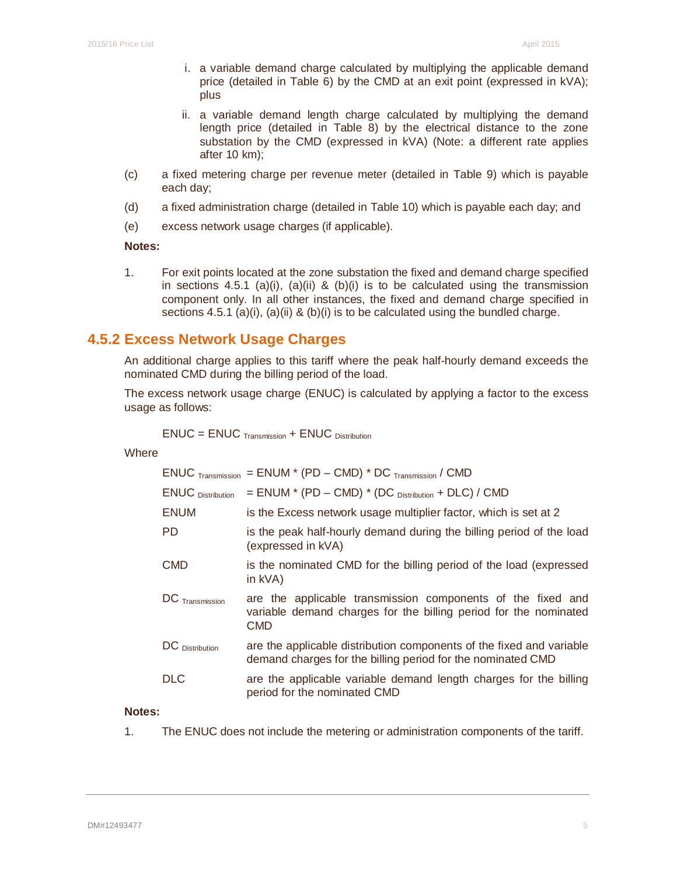- i. a variable demand charge calculated by multiplying the applicable demand price (detailed in Table 6) by the CMD at an exit point (expressed in kVA); plus
- ii. a variable demand length charge calculated by multiplying the demand length price (detailed in Table 8) by the electrical distance to the zone substation by the CMD (expressed in kVA) (Note: a different rate applies after 10 km);
- (c) a fixed metering charge per revenue meter (detailed in Table 9) which is payable each day;
- (d) a fixed administration charge (detailed in Table 10) which is payable each day; and
- (e) excess network usage charges (if applicable).

**Notes:** 

1. For exit points located at the zone substation the fixed and demand charge specified in sections 4.5.1 (a)(i), (a)(ii) & (b)(i) is to be calculated using the transmission component only. In all other instances, the fixed and demand charge specified in sections  $4.5.1$  (a)(i), (a)(ii) & (b)(i) is to be calculated using the bundled charge.

# **4.5.2 Excess Network Usage Charges**

An additional charge applies to this tariff where the peak half-hourly demand exceeds the nominated CMD during the billing period of the load.

The excess network usage charge (ENUC) is calculated by applying a factor to the excess usage as follows:

ENUC = ENUC Transmission + ENUC Distribution

**Where** 

|                          | $ENUC$ Transmission = ENUM * (PD – CMD) * DC Transmission / CMD                                                                        |
|--------------------------|----------------------------------------------------------------------------------------------------------------------------------------|
| <b>ENUC</b> Distribution | $=$ ENUM $*$ (PD – CMD) $*$ (DC $_{Distibution}$ + DLC) / CMD                                                                          |
| <b>ENUM</b>              | is the Excess network usage multiplier factor, which is set at 2                                                                       |
| PD                       | is the peak half-hourly demand during the billing period of the load<br>(expressed in kVA)                                             |
| <b>CMD</b>               | is the nominated CMD for the billing period of the load (expressed<br>in kVA)                                                          |
| $DC$ Transmission        | are the applicable transmission components of the fixed and<br>variable demand charges for the billing period for the nominated<br>CMD |
| DC Distribution          | are the applicable distribution components of the fixed and variable<br>demand charges for the billing period for the nominated CMD    |
| <b>DLC</b>               | are the applicable variable demand length charges for the billing<br>period for the nominated CMD                                      |

### **Notes:**

1. The ENUC does not include the metering or administration components of the tariff.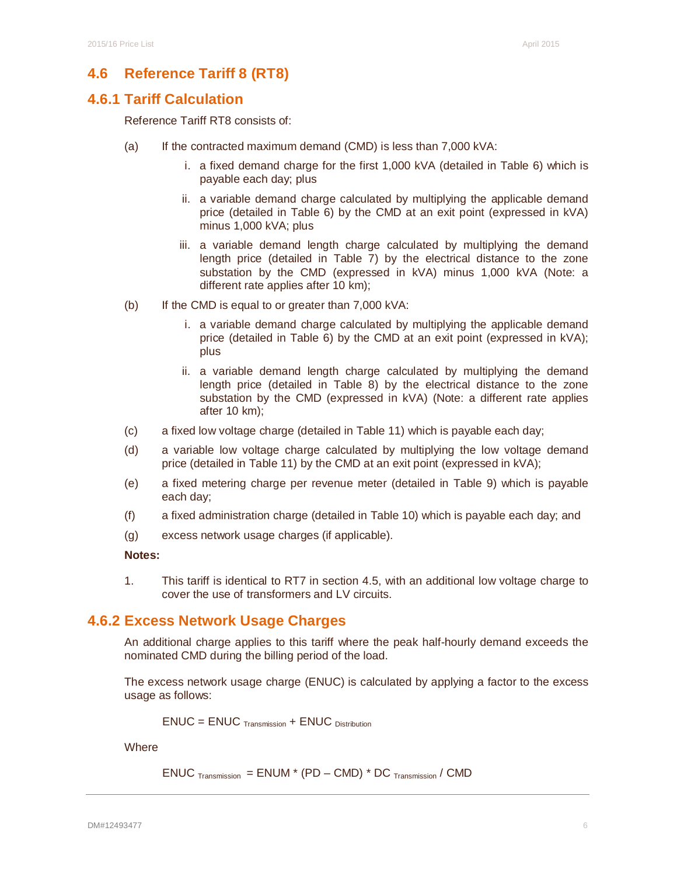### **4.6 Reference Tariff 8 (RT8)**

### **4.6.1 Tariff Calculation**

Reference Tariff RT8 consists of:

- (a) If the contracted maximum demand (CMD) is less than  $7,000$  kVA:
	- i. a fixed demand charge for the first 1,000 kVA (detailed in Table 6) which is payable each day; plus
	- ii. a variable demand charge calculated by multiplying the applicable demand price (detailed in Table 6) by the CMD at an exit point (expressed in kVA) minus 1,000 kVA; plus
	- iii. a variable demand length charge calculated by multiplying the demand length price (detailed in Table 7) by the electrical distance to the zone substation by the CMD (expressed in kVA) minus 1,000 kVA (Note: a different rate applies after 10 km);
- (b) If the CMD is equal to or greater than 7,000 kVA:
	- i. a variable demand charge calculated by multiplying the applicable demand price (detailed in Table 6) by the CMD at an exit point (expressed in kVA); plus
	- ii. a variable demand length charge calculated by multiplying the demand length price (detailed in Table 8) by the electrical distance to the zone substation by the CMD (expressed in kVA) (Note: a different rate applies after 10 km);
- (c) a fixed low voltage charge (detailed in Table 11) which is payable each day;
- (d) a variable low voltage charge calculated by multiplying the low voltage demand price (detailed in Table 11) by the CMD at an exit point (expressed in kVA);
- (e) a fixed metering charge per revenue meter (detailed in Table 9) which is payable each day;
- (f) a fixed administration charge (detailed in Table 10) which is payable each day; and
- (g) excess network usage charges (if applicable).

**Notes:** 

1. This tariff is identical to RT7 in section 4.5, with an additional low voltage charge to cover the use of transformers and LV circuits.

### **4.6.2 Excess Network Usage Charges**

An additional charge applies to this tariff where the peak half-hourly demand exceeds the nominated CMD during the billing period of the load.

The excess network usage charge (ENUC) is calculated by applying a factor to the excess usage as follows:

$$
ENUC = ENUC_{\text{Transmission}} + ENUC_{\text{ Distribution}}
$$

**Where** 

$$
ENUC_{\text{ Transmission}} = ENUM * (PD - CMD) * DC_{\text{ Transmission}} / CMD
$$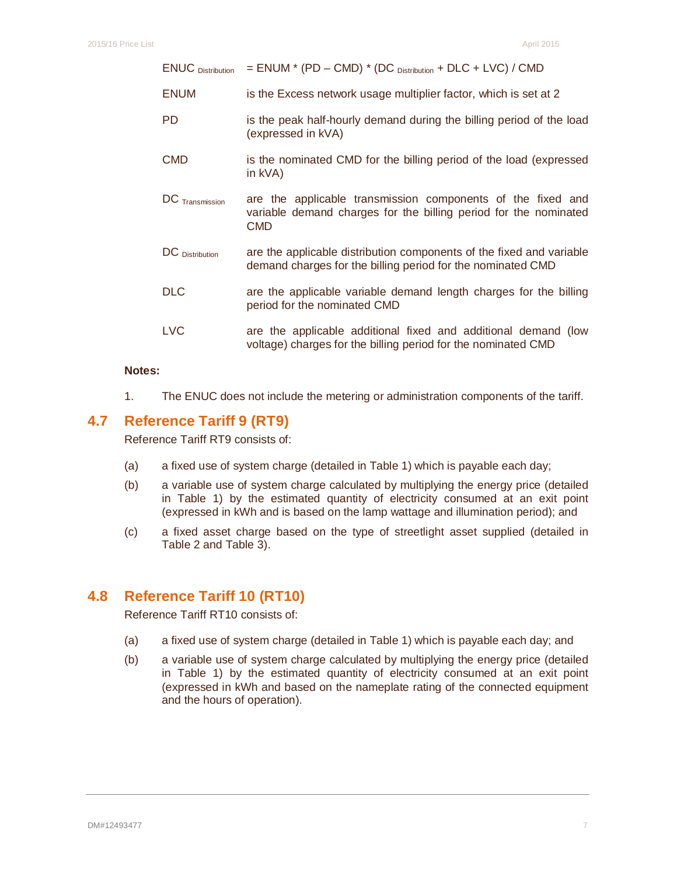| <b>ENUC</b> Distribution | = ENUM * (PD - CMD) * (DC Distribution + DLC + LVC) / CMD                                                                              |
|--------------------------|----------------------------------------------------------------------------------------------------------------------------------------|
| <b>ENUM</b>              | is the Excess network usage multiplier factor, which is set at 2                                                                       |
| <b>PD</b>                | is the peak half-hourly demand during the billing period of the load<br>(expressed in kVA)                                             |
| <b>CMD</b>               | is the nominated CMD for the billing period of the load (expressed<br>in $kVA$ )                                                       |
| DC Transmission          | are the applicable transmission components of the fixed and<br>variable demand charges for the billing period for the nominated<br>CMD |
| DC Distribution          | are the applicable distribution components of the fixed and variable<br>demand charges for the billing period for the nominated CMD    |
| <b>DLC</b>               | are the applicable variable demand length charges for the billing<br>period for the nominated CMD                                      |
| <b>LVC</b>               | are the applicable additional fixed and additional demand (low                                                                         |

#### **Notes:**

1. The ENUC does not include the metering or administration components of the tariff.

voltage) charges for the billing period for the nominated CMD

# **4.7 Reference Tariff 9 (RT9)**

Reference Tariff RT9 consists of:

- (a) a fixed use of system charge (detailed in Table 1) which is payable each day;
- (b) a variable use of system charge calculated by multiplying the energy price (detailed in Table 1) by the estimated quantity of electricity consumed at an exit point (expressed in kWh and is based on the lamp wattage and illumination period); and
- (c) a fixed asset charge based on the type of streetlight asset supplied (detailed in Table 2 and Table 3).

# **4.8 Reference Tariff 10 (RT10)**

Reference Tariff RT10 consists of:

- (a) a fixed use of system charge (detailed in Table 1) which is payable each day; and
- (b) a variable use of system charge calculated by multiplying the energy price (detailed in Table 1) by the estimated quantity of electricity consumed at an exit point (expressed in kWh and based on the nameplate rating of the connected equipment and the hours of operation).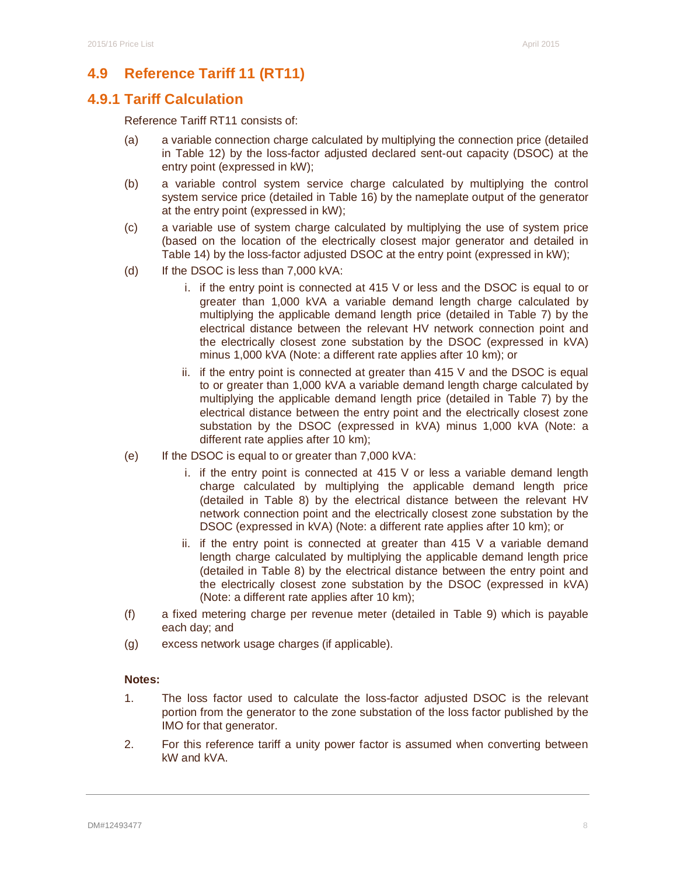# **4.9 Reference Tariff 11 (RT11)**

# **4.9.1 Tariff Calculation**

Reference Tariff RT11 consists of:

- (a) a variable connection charge calculated by multiplying the connection price (detailed in Table 12) by the loss-factor adjusted declared sent-out capacity (DSOC) at the entry point (expressed in kW);
- (b) a variable control system service charge calculated by multiplying the control system service price (detailed in Table 16) by the nameplate output of the generator at the entry point (expressed in kW);
- (c) a variable use of system charge calculated by multiplying the use of system price (based on the location of the electrically closest major generator and detailed in Table 14) by the loss-factor adjusted DSOC at the entry point (expressed in kW);
- (d) If the DSOC is less than  $7,000$  kVA:
	- i. if the entry point is connected at 415 V or less and the DSOC is equal to or greater than 1,000 kVA a variable demand length charge calculated by multiplying the applicable demand length price (detailed in Table 7) by the electrical distance between the relevant HV network connection point and the electrically closest zone substation by the DSOC (expressed in kVA) minus 1,000 kVA (Note: a different rate applies after 10 km); or
	- ii. if the entry point is connected at greater than 415 V and the DSOC is equal to or greater than 1,000 kVA a variable demand length charge calculated by multiplying the applicable demand length price (detailed in Table 7) by the electrical distance between the entry point and the electrically closest zone substation by the DSOC (expressed in kVA) minus 1,000 kVA (Note: a different rate applies after 10 km);
- (e) If the DSOC is equal to or greater than 7,000 kVA:
	- i. if the entry point is connected at  $415$  V or less a variable demand length charge calculated by multiplying the applicable demand length price (detailed in Table 8) by the electrical distance between the relevant HV network connection point and the electrically closest zone substation by the DSOC (expressed in kVA) (Note: a different rate applies after 10 km); or
	- ii. if the entry point is connected at greater than 415 V a variable demand length charge calculated by multiplying the applicable demand length price (detailed in Table 8) by the electrical distance between the entry point and the electrically closest zone substation by the DSOC (expressed in kVA) (Note: a different rate applies after 10 km);
- (f) a fixed metering charge per revenue meter (detailed in Table 9) which is payable each day; and
- (g) excess network usage charges (if applicable).

#### **Notes:**

- 1. The loss factor used to calculate the loss-factor adjusted DSOC is the relevant portion from the generator to the zone substation of the loss factor published by the IMO for that generator.
- 2. For this reference tariff a unity power factor is assumed when converting between kW and kVA.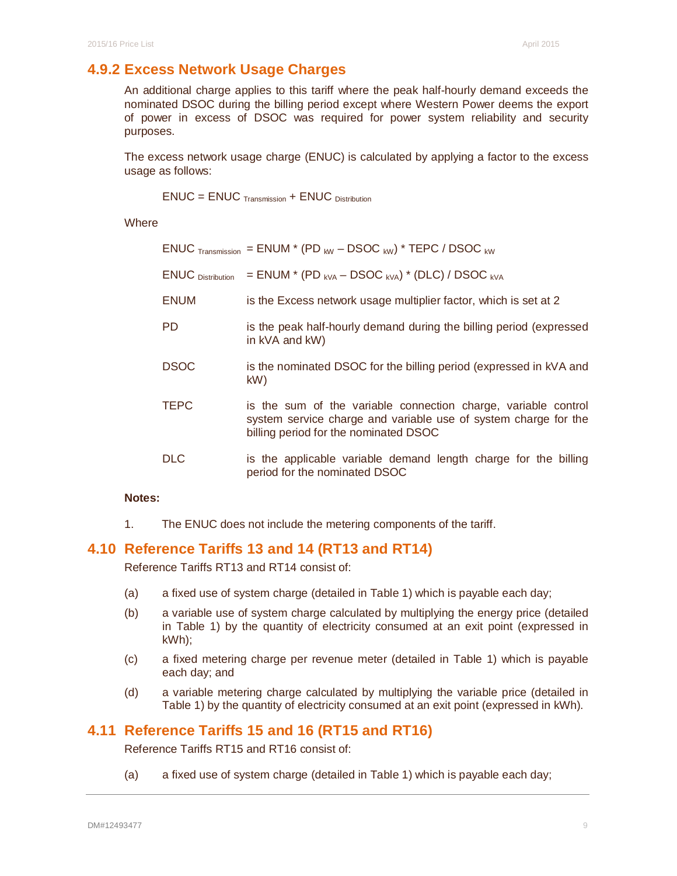# **4.9.2 Excess Network Usage Charges**

An additional charge applies to this tariff where the peak half-hourly demand exceeds the nominated DSOC during the billing period except where Western Power deems the export of power in excess of DSOC was required for power system reliability and security purposes.

The excess network usage charge (ENUC) is calculated by applying a factor to the excess usage as follows:

ENUC = ENUC Transmission + ENUC Distribution

**Where** 

|                          | $ENUC$ $_{\text{transmission}}$ = ENUM $^{*}$ (PD $_{\text{kw}}$ – DSOC $_{\text{kw}}$ ) $^{*}$ TEPC / DSOC $_{\text{kw}}$                                                 |
|--------------------------|----------------------------------------------------------------------------------------------------------------------------------------------------------------------------|
| <b>ENUC</b> Distribution | = ENUM * (PD $_{\text{kVA}}$ – DSOC $_{\text{kVA}}$ ) * (DLC) / DSOC $_{\text{kVA}}$                                                                                       |
| <b>ENUM</b>              | is the Excess network usage multiplier factor, which is set at 2                                                                                                           |
| PD                       | is the peak half-hourly demand during the billing period (expressed<br>in kVA and kW)                                                                                      |
| <b>DSOC</b>              | is the nominated DSOC for the billing period (expressed in kVA and<br>kW)                                                                                                  |
| <b>TEPC</b>              | is the sum of the variable connection charge, variable control<br>system service charge and variable use of system charge for the<br>billing period for the nominated DSOC |
| <b>DLC</b>               | is the applicable variable demand length charge for the billing<br>period for the nominated DSOC                                                                           |

#### **Notes:**

1. The ENUC does not include the metering components of the tariff.

# **4.10 Reference Tariffs 13 and 14 (RT13 and RT14)**

Reference Tariffs RT13 and RT14 consist of:

- (a) a fixed use of system charge (detailed in Table 1) which is payable each day;
- (b) a variable use of system charge calculated by multiplying the energy price (detailed in Table 1) by the quantity of electricity consumed at an exit point (expressed in kWh);
- (c) a fixed metering charge per revenue meter (detailed in Table 1) which is payable each day; and
- (d) a variable metering charge calculated by multiplying the variable price (detailed in Table 1) by the quantity of electricity consumed at an exit point (expressed in kWh).

### **4.11 Reference Tariffs 15 and 16 (RT15 and RT16)**

Reference Tariffs RT15 and RT16 consist of:

(a) a fixed use of system charge (detailed in Table 1) which is payable each day;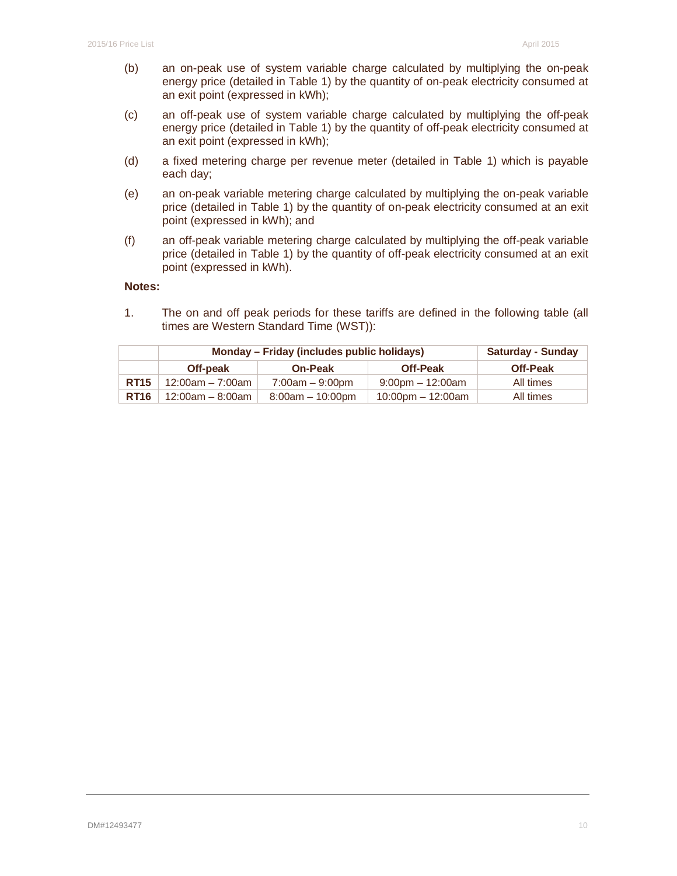- (b) an on-peak use of system variable charge calculated by multiplying the on-peak energy price (detailed in Table 1) by the quantity of on-peak electricity consumed at an exit point (expressed in kWh);
- (c) an off-peak use of system variable charge calculated by multiplying the off-peak energy price (detailed in Table 1) by the quantity of off-peak electricity consumed at an exit point (expressed in kWh);
- (d) a fixed metering charge per revenue meter (detailed in Table 1) which is payable each day;
- (e) an on-peak variable metering charge calculated by multiplying the on-peak variable price (detailed in Table 1) by the quantity of on-peak electricity consumed at an exit point (expressed in kWh); and
- (f) an off-peak variable metering charge calculated by multiplying the off-peak variable price (detailed in Table 1) by the quantity of off-peak electricity consumed at an exit point (expressed in kWh).

### **Notes:**

1. The on and off peak periods for these tariffs are defined in the following table (all times are Western Standard Time (WST)):

|             | Monday - Friday (includes public holidays) |                    |                         | <b>Saturday - Sunday</b> |
|-------------|--------------------------------------------|--------------------|-------------------------|--------------------------|
|             | Off-peak                                   | <b>On-Peak</b>     | <b>Off-Peak</b>         | <b>Off-Peak</b>          |
| <b>RT15</b> | $12:00am - 7:00am$                         | $7:00am - 9:00pm$  | $9:00$ pm $-12:00$ am   | All times                |
| <b>RT16</b> | $12:00$ am – 8:00am                        | $8:00am - 10:00dm$ | $10:00$ pm $- 12:00$ am | All times                |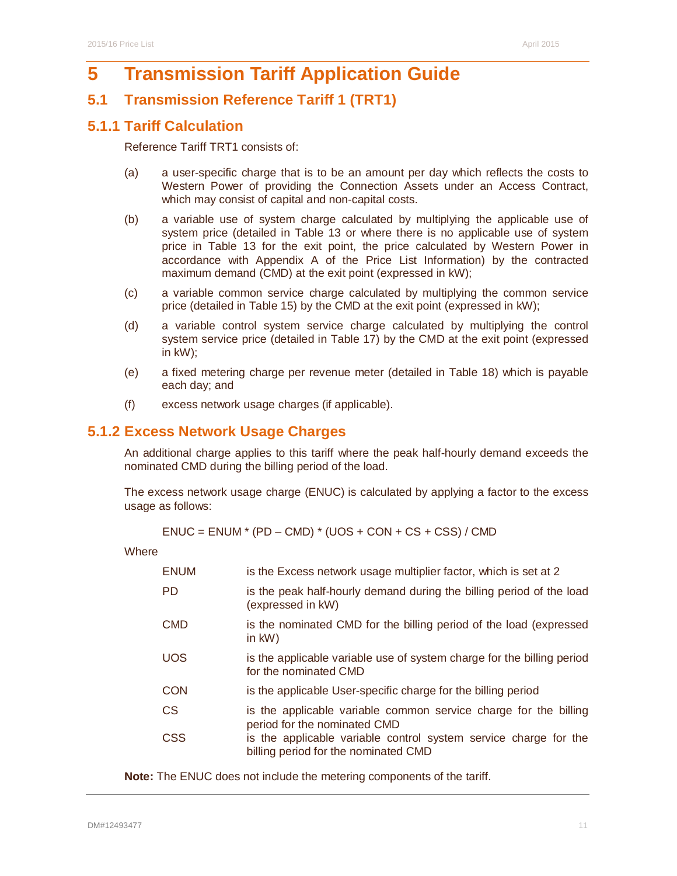# **5 Transmission Tariff Application Guide**

# **5.1 Transmission Reference Tariff 1 (TRT1)**

# **5.1.1 Tariff Calculation**

Reference Tariff TRT1 consists of:

- (a) a user-specific charge that is to be an amount per day which reflects the costs to Western Power of providing the Connection Assets under an Access Contract, which may consist of capital and non-capital costs.
- (b) a variable use of system charge calculated by multiplying the applicable use of system price (detailed in Table 13 or where there is no applicable use of system price in Table 13 for the exit point, the price calculated by Western Power in accordance with Appendix A of the Price List Information) by the contracted maximum demand (CMD) at the exit point (expressed in kW);
- (c) a variable common service charge calculated by multiplying the common service price (detailed in Table 15) by the CMD at the exit point (expressed in kW);
- (d) a variable control system service charge calculated by multiplying the control system service price (detailed in Table 17) by the CMD at the exit point (expressed in kW);
- (e) a fixed metering charge per revenue meter (detailed in Table 18) which is payable each day; and
- (f) excess network usage charges (if applicable).

# **5.1.2 Excess Network Usage Charges**

An additional charge applies to this tariff where the peak half-hourly demand exceeds the nominated CMD during the billing period of the load.

The excess network usage charge (ENUC) is calculated by applying a factor to the excess usage as follows:

 $ENUC = ENUM * (PD - CMD) * (UOS + CON + CS + CSS) / CMD$ 

**Where** 

| <b>ENUM</b> | is the Excess network usage multiplier factor, which is set at 2                                         |
|-------------|----------------------------------------------------------------------------------------------------------|
| <b>PD</b>   | is the peak half-hourly demand during the billing period of the load<br>(expressed in kW)                |
| <b>CMD</b>  | is the nominated CMD for the billing period of the load (expressed<br>in $kW$ )                          |
| <b>UOS</b>  | is the applicable variable use of system charge for the billing period<br>for the nominated CMD          |
| CON         | is the applicable User-specific charge for the billing period                                            |
| CS          | is the applicable variable common service charge for the billing<br>period for the nominated CMD         |
| CSS         | is the applicable variable control system service charge for the<br>billing period for the nominated CMD |

**Note:** The ENUC does not include the metering components of the tariff.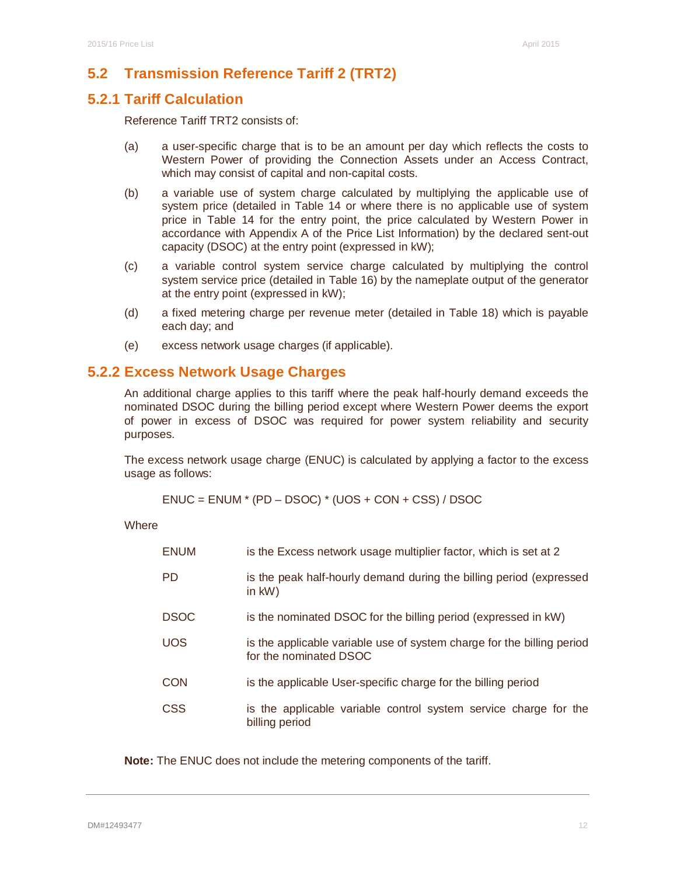# **5.2 Transmission Reference Tariff 2 (TRT2)**

### **5.2.1 Tariff Calculation**

Reference Tariff TRT2 consists of:

- (a) a user-specific charge that is to be an amount per day which reflects the costs to Western Power of providing the Connection Assets under an Access Contract, which may consist of capital and non-capital costs.
- (b) a variable use of system charge calculated by multiplying the applicable use of system price (detailed in Table 14 or where there is no applicable use of system price in Table 14 for the entry point, the price calculated by Western Power in accordance with Appendix A of the Price List Information) by the declared sent-out capacity (DSOC) at the entry point (expressed in kW);
- (c) a variable control system service charge calculated by multiplying the control system service price (detailed in Table 16) by the nameplate output of the generator at the entry point (expressed in kW);
- (d) a fixed metering charge per revenue meter (detailed in Table 18) which is payable each day; and
- (e) excess network usage charges (if applicable).

### **5.2.2 Excess Network Usage Charges**

An additional charge applies to this tariff where the peak half-hourly demand exceeds the nominated DSOC during the billing period except where Western Power deems the export of power in excess of DSOC was required for power system reliability and security purposes.

The excess network usage charge (ENUC) is calculated by applying a factor to the excess usage as follows:

 $ENUC = ENUM * (PD - DSOC) * (UOS + CON + CSS) / DSOC$ 

**Where** 

| <b>ENUM</b> | is the Excess network usage multiplier factor, which is set at 2                                 |  |  |  |  |  |
|-------------|--------------------------------------------------------------------------------------------------|--|--|--|--|--|
| <b>PD</b>   | is the peak half-hourly demand during the billing period (expressed<br>in $kW$ )                 |  |  |  |  |  |
| <b>DSOC</b> | is the nominated DSOC for the billing period (expressed in kW)                                   |  |  |  |  |  |
| <b>UOS</b>  | is the applicable variable use of system charge for the billing period<br>for the nominated DSOC |  |  |  |  |  |
| <b>CON</b>  | is the applicable User-specific charge for the billing period                                    |  |  |  |  |  |
| <b>CSS</b>  | is the applicable variable control system service charge for the<br>billing period               |  |  |  |  |  |

**Note:** The ENUC does not include the metering components of the tariff.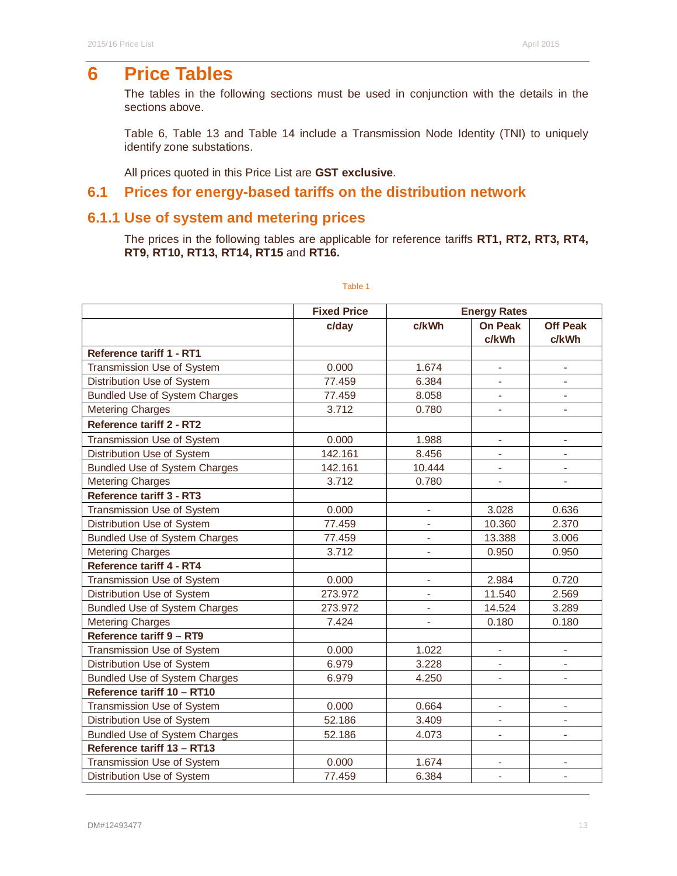# **6 Price Tables**

The tables in the following sections must be used in conjunction with the details in the sections above.

Table 6, Table 13 and Table 14 include a Transmission Node Identity (TNI) to uniquely identify zone substations.

All prices quoted in this Price List are **GST exclusive**.

# **6.1 Prices for energy-based tariffs on the distribution network**

# **6.1.1 Use of system and metering prices**

The prices in the following tables are applicable for reference tariffs **RT1, RT2, RT3, RT4, RT9, RT10, RT13, RT14, RT15** and **RT16.** 

|                                      | <b>Fixed Price</b> | <b>Energy Rates</b>      |                              |                          |
|--------------------------------------|--------------------|--------------------------|------------------------------|--------------------------|
|                                      | c/day              | c/kWh                    | <b>On Peak</b>               | <b>Off Peak</b>          |
|                                      |                    |                          | c/kWh                        | c/kWh                    |
| <b>Reference tariff 1 - RT1</b>      |                    |                          |                              |                          |
| Transmission Use of System           | 0.000              | 1.674                    |                              |                          |
| Distribution Use of System           | 77.459             | 6.384                    | ÷,                           | $\blacksquare$           |
| <b>Bundled Use of System Charges</b> | 77.459             | 8.058                    | ÷,                           | L.                       |
| <b>Metering Charges</b>              | 3.712              | 0.780                    | $\qquad \qquad \blacksquare$ | $\overline{\phantom{0}}$ |
| <b>Reference tariff 2 - RT2</b>      |                    |                          |                              |                          |
| Transmission Use of System           | 0.000              | 1.988                    | $\overline{\phantom{a}}$     | $\blacksquare$           |
| Distribution Use of System           | 142.161            | 8.456                    |                              |                          |
| <b>Bundled Use of System Charges</b> | 142.161            | 10.444                   | $\blacksquare$               | ÷,                       |
| <b>Metering Charges</b>              | 3.712              | 0.780                    | $\overline{\phantom{a}}$     |                          |
| <b>Reference tariff 3 - RT3</b>      |                    |                          |                              |                          |
| Transmission Use of System           | 0.000              |                          | 3.028                        | 0.636                    |
| Distribution Use of System           | 77.459             |                          | 10.360                       | 2.370                    |
| <b>Bundled Use of System Charges</b> | 77.459             | $\overline{\phantom{a}}$ | 13.388                       | 3.006                    |
| <b>Metering Charges</b>              | 3.712              | ٠                        | 0.950                        | 0.950                    |
| <b>Reference tariff 4 - RT4</b>      |                    |                          |                              |                          |
| Transmission Use of System           | 0.000              |                          | 2.984                        | 0.720                    |
| Distribution Use of System           | 273.972            |                          | 11.540                       | 2.569                    |
| <b>Bundled Use of System Charges</b> | 273.972            |                          | 14.524                       | 3.289                    |
| <b>Metering Charges</b>              | 7.424              | $\blacksquare$           | 0.180                        | 0.180                    |
| Reference tariff 9 - RT9             |                    |                          |                              |                          |
| Transmission Use of System           | 0.000              | 1.022                    |                              |                          |
| Distribution Use of System           | 6.979              | 3.228                    | $\blacksquare$               | ÷,                       |
| <b>Bundled Use of System Charges</b> | 6.979              | 4.250                    | $\blacksquare$               | ÷,                       |
| Reference tariff 10 - RT10           |                    |                          |                              |                          |
| Transmission Use of System           | 0.000              | 0.664                    | $\overline{\phantom{a}}$     | ÷,                       |
| Distribution Use of System           | 52.186             | 3.409                    |                              |                          |
| <b>Bundled Use of System Charges</b> | 52.186             | 4.073                    | ÷,                           | L.                       |
| Reference tariff 13 - RT13           |                    |                          |                              |                          |
| Transmission Use of System           | 0.000              | 1.674                    | ÷                            | $\qquad \qquad -$        |
| Distribution Use of System           | 77.459             | 6.384                    | $\overline{\phantom{a}}$     | $\overline{\phantom{a}}$ |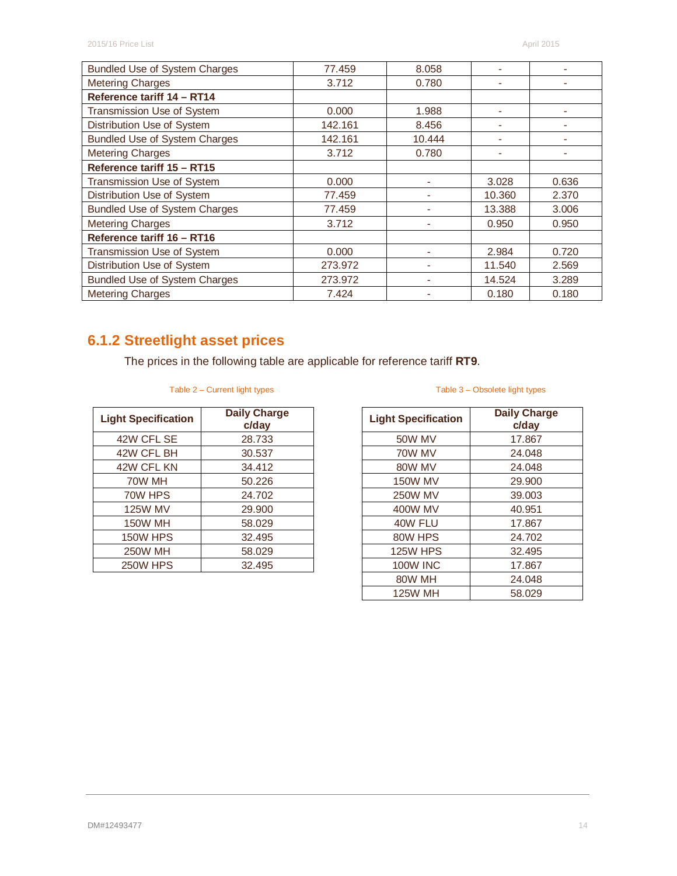| <b>Bundled Use of System Charges</b> | 77.459  | 8.058  |        |       |
|--------------------------------------|---------|--------|--------|-------|
| <b>Metering Charges</b>              | 3.712   | 0.780  |        |       |
| Reference tariff 14 - RT14           |         |        |        |       |
| Transmission Use of System           | 0.000   | 1.988  |        |       |
| Distribution Use of System           | 142.161 | 8.456  | -      |       |
| <b>Bundled Use of System Charges</b> | 142.161 | 10.444 |        |       |
| <b>Metering Charges</b>              | 3.712   | 0.780  |        |       |
| Reference tariff 15 - RT15           |         |        |        |       |
| Transmission Use of System           | 0.000   |        | 3.028  | 0.636 |
| Distribution Use of System           | 77.459  |        | 10.360 | 2.370 |
| <b>Bundled Use of System Charges</b> | 77.459  |        | 13.388 | 3.006 |
| <b>Metering Charges</b>              | 3.712   |        | 0.950  | 0.950 |
| Reference tariff 16 - RT16           |         |        |        |       |
| Transmission Use of System           | 0.000   |        | 2.984  | 0.720 |
| Distribution Use of System           | 273.972 |        | 11.540 | 2.569 |
| <b>Bundled Use of System Charges</b> | 273.972 |        | 14.524 | 3.289 |
| <b>Metering Charges</b>              | 7.424   |        | 0.180  | 0.180 |

# **6.1.2 Streetlight asset prices**

The prices in the following table are applicable for reference tariff **RT9**.

|  | Table 2 – Current light types |  |
|--|-------------------------------|--|
|  |                               |  |

| <b>Light Specification</b> | <b>Daily Charge</b><br>c/day |
|----------------------------|------------------------------|
| 42W CFL SE                 | 28.733                       |
| 42W CFL BH                 | 30.537                       |
| 42W CFL KN                 | 34.412                       |
| 70W MH                     | 50.226                       |
| 70W HPS                    | 24.702                       |
| <b>125W MV</b>             | 29.900                       |
| <b>150W MH</b>             | 58.029                       |
| <b>150W HPS</b>            | 32.495                       |
| <b>250W MH</b>             | 58.029                       |
| <b>250W HPS</b>            | 32.495                       |

### Table 3 – Obsolete light types

| <b>Light Specification</b> | <b>Daily Charge</b><br>c/day |
|----------------------------|------------------------------|
| 50W MV                     | 17.867                       |
| 70W MV                     | 24.048                       |
| 80W MV                     | 24.048                       |
| <b>150W MV</b>             | 29.900                       |
| <b>250W MV</b>             | 39.003                       |
| 400W MV                    | 40.951                       |
| 40W FLU                    | 17.867                       |
| 80W HPS                    | 24.702                       |
| <b>125W HPS</b>            | 32.495                       |
| <b>100W INC</b>            | 17.867                       |
| 80W MH                     | 24.048                       |
| <b>125W MH</b>             | 58.029                       |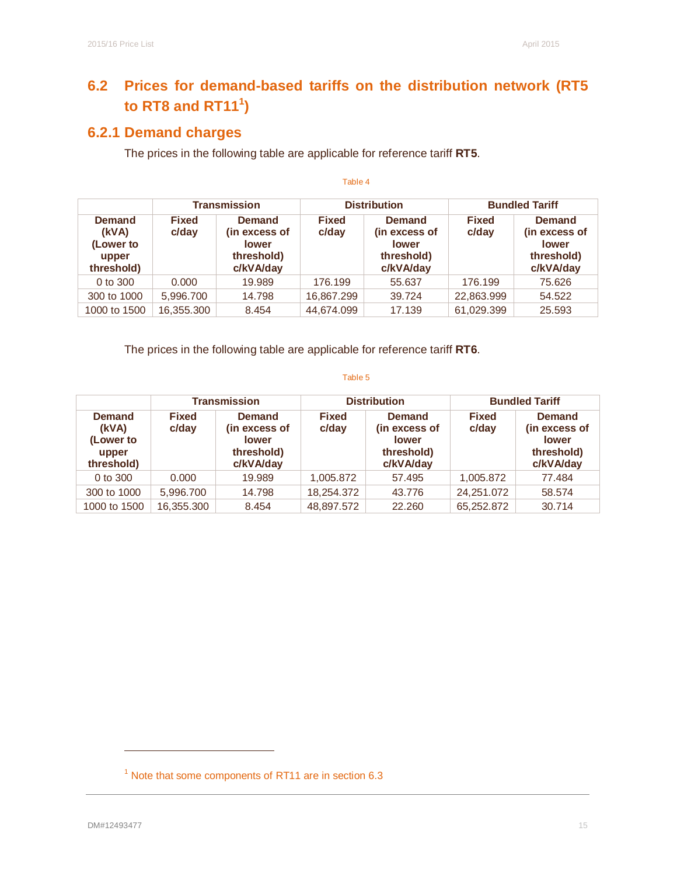# **6.2 Prices for demand-based tariffs on the distribution network (RT5 to RT8 and RT11<sup>1</sup> )**

# **6.2.1 Demand charges**

The prices in the following table are applicable for reference tariff **RT5**.

|                                                            | <b>Transmission</b>   |                                                                           |                       | <b>Distribution</b>                                                | <b>Bundled Tariff</b> |                                                                           |  |
|------------------------------------------------------------|-----------------------|---------------------------------------------------------------------------|-----------------------|--------------------------------------------------------------------|-----------------------|---------------------------------------------------------------------------|--|
| <b>Demand</b><br>(kVA)<br>(Lower to<br>upper<br>threshold) | <b>Fixed</b><br>c/day | <b>Demand</b><br>(in excess of<br><b>lower</b><br>threshold)<br>c/kVA/day | <b>Fixed</b><br>c/day | Demand<br>(in excess of<br><b>lower</b><br>threshold)<br>c/kVA/day | <b>Fixed</b><br>c/day | <b>Demand</b><br>(in excess of<br><b>lower</b><br>threshold)<br>c/kVA/day |  |
| 0 to 300                                                   | 0.000                 | 19.989                                                                    | 176.199               | 55.637                                                             | 176.199               | 75.626                                                                    |  |
| 300 to 1000                                                | 5,996.700             | 14.798                                                                    | 16,867.299            | 39.724                                                             | 22,863.999            | 54.522                                                                    |  |
| 1000 to 1500                                               | 16,355.300            | 8.454                                                                     | 44,674.099            | 17.139                                                             | 61,029.399            | 25.593                                                                    |  |

Table 4

The prices in the following table are applicable for reference tariff **RT6**.

#### Table 5

|                                                            | <b>Transmission</b>   |                                                                           |                       | <b>Distribution</b>                                                       | <b>Bundled Tariff</b> |                                                                           |  |
|------------------------------------------------------------|-----------------------|---------------------------------------------------------------------------|-----------------------|---------------------------------------------------------------------------|-----------------------|---------------------------------------------------------------------------|--|
| <b>Demand</b><br>(kVA)<br>(Lower to<br>upper<br>threshold) | <b>Fixed</b><br>c/day | <b>Demand</b><br>(in excess of<br><b>lower</b><br>threshold)<br>c/kVA/day | <b>Fixed</b><br>c/day | <b>Demand</b><br>(in excess of<br><b>lower</b><br>threshold)<br>c/kVA/day | <b>Fixed</b><br>c/day | <b>Demand</b><br>(in excess of<br><b>lower</b><br>threshold)<br>c/kVA/day |  |
| 0 to 300                                                   | 0.000                 | 19.989                                                                    | 1,005.872             | 57.495                                                                    | 1,005.872             | 77.484                                                                    |  |
| 300 to 1000                                                | 5.996.700             | 14.798                                                                    | 18,254.372            | 43.776                                                                    | 24,251.072            | 58.574                                                                    |  |
| 1000 to 1500                                               | 16,355.300            | 8.454                                                                     | 48,897.572            | 22.260                                                                    | 65,252.872            | 30.714                                                                    |  |

 $\ddot{\phantom{a}}$ 

 $1$  Note that some components of RT11 are in section 6.3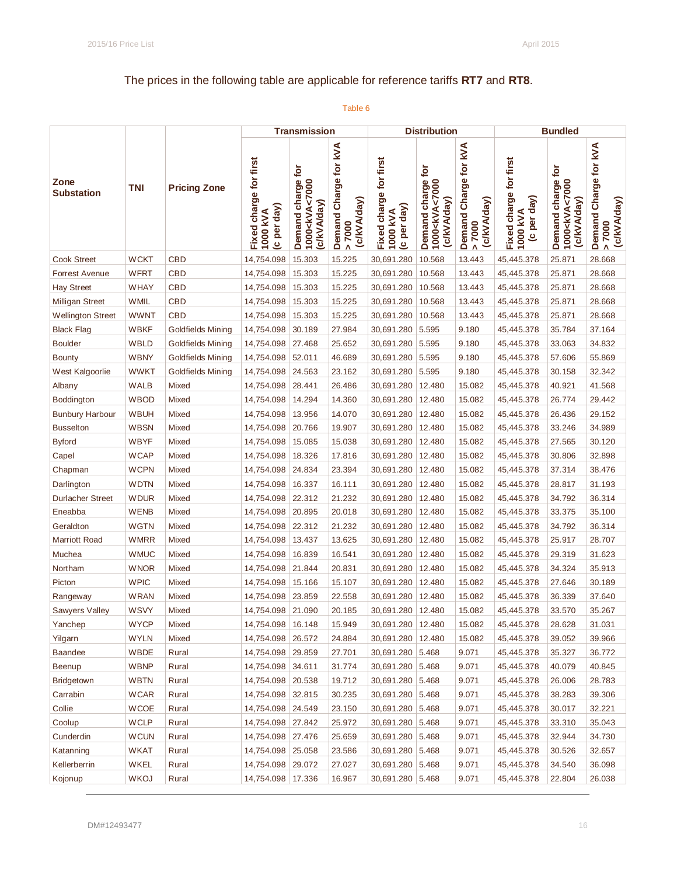# The prices in the following table are applicable for reference tariffs **RT7** and **RT8**.

|                           |             |                          |                                                   | <b>Transmission</b>                                              |                                                |                                                   | <b>Distribution</b>                                               |                                                           |                                                   | <b>Bundled</b>                                                             |                                                |
|---------------------------|-------------|--------------------------|---------------------------------------------------|------------------------------------------------------------------|------------------------------------------------|---------------------------------------------------|-------------------------------------------------------------------|-----------------------------------------------------------|---------------------------------------------------|----------------------------------------------------------------------------|------------------------------------------------|
| Zone<br><b>Substation</b> | TNI         | <b>Pricing Zone</b>      | Fixed charge for first<br>(c per day)<br>1000 kVA | ē<br>Demand charge<br>1000 <kva<7000<br>c/kVA/day)</kva<7000<br> | Demand Charge for kVA<br>(c/kVA/day)<br>> 7000 | Fixed charge for first<br>(c per day)<br>1000 kVA | ĕ<br>Demand charge<br>1000 <kva<7000<br>(c/kVA/day)</kva<7000<br> | Demand Charge for kVA<br>(c/kVA/day)<br>0000 <sup>2</sup> | Fixed charge for first<br>(c per day)<br>1000 kVA | <b>jor</b><br>Demand charge<br>1000 <kva<7000<br>(c/kVA/day)</kva<7000<br> | Demand Charge for KVA<br>(c/kVA/day)<br>> 7000 |
| <b>Cook Street</b>        | <b>WCKT</b> | <b>CBD</b>               | 14,754.098                                        | 15.303                                                           | 15.225                                         | 30,691.280                                        | 10.568                                                            | 13.443                                                    | 45,445.378                                        | 25.871                                                                     | 28.668                                         |
| <b>Forrest Avenue</b>     | <b>WFRT</b> | <b>CBD</b>               | 14,754.098                                        | 15.303                                                           | 15.225                                         | 30,691.280                                        | 10.568                                                            | 13.443                                                    | 45,445.378                                        | 25.871                                                                     | 28.668                                         |
| <b>Hay Street</b>         | <b>WHAY</b> | <b>CBD</b>               | 14,754.098                                        | 15.303                                                           | 15.225                                         | 30,691.280                                        | 10.568                                                            | 13.443                                                    | 45,445.378                                        | 25.871                                                                     | 28.668                                         |
| <b>Milligan Street</b>    | WMIL        | <b>CBD</b>               | 14,754.098                                        | 15.303                                                           | 15.225                                         | 30,691.280                                        | 10.568                                                            | 13.443                                                    | 45,445.378                                        | 25.871                                                                     | 28.668                                         |
| <b>Wellington Street</b>  | <b>WWNT</b> | <b>CBD</b>               | 14,754.098                                        | 15.303                                                           | 15.225                                         | 30,691.280                                        | 10.568                                                            | 13.443                                                    | 45,445.378                                        | 25.871                                                                     | 28.668                                         |
| <b>Black Flag</b>         | <b>WBKF</b> | <b>Goldfields Mining</b> | 14,754.098                                        | 30.189                                                           | 27.984                                         | 30,691.280                                        | 5.595                                                             | 9.180                                                     | 45,445.378                                        | 35.784                                                                     | 37.164                                         |
| <b>Boulder</b>            | <b>WBLD</b> | Goldfields Mining        | 14,754.098                                        | 27.468                                                           | 25.652                                         | 30,691.280                                        | 5.595                                                             | 9.180                                                     | 45,445.378                                        | 33.063                                                                     | 34.832                                         |
| <b>Bounty</b>             | <b>WBNY</b> | <b>Goldfields Mining</b> | 14,754.098                                        | 52.011                                                           | 46.689                                         | 30,691.280                                        | 5.595                                                             | 9.180                                                     | 45,445.378                                        | 57.606                                                                     | 55.869                                         |
| West Kalgoorlie           | <b>WWKT</b> | <b>Goldfields Mining</b> | 14,754.098   24.563                               |                                                                  | 23.162                                         | 30,691.280 5.595                                  |                                                                   | 9.180                                                     | 45,445.378                                        | 30.158                                                                     | 32.342                                         |
| Albany                    | <b>WALB</b> | Mixed                    | 14,754.098                                        | 28.441                                                           | 26.486                                         | 30,691.280                                        | 12.480                                                            | 15.082                                                    | 45,445.378                                        | 40.921                                                                     | 41.568                                         |
| Boddington                | <b>WBOD</b> | Mixed                    | 14,754.098                                        | 14.294                                                           | 14.360                                         | 30,691.280                                        | 12.480                                                            | 15.082                                                    | 45,445.378                                        | 26.774                                                                     | 29.442                                         |
| <b>Bunbury Harbour</b>    | <b>WBUH</b> | Mixed                    | 14,754.098                                        | 13.956                                                           | 14.070                                         | 30,691.280                                        | 12.480                                                            | 15.082                                                    | 45,445.378                                        | 26.436                                                                     | 29.152                                         |
| <b>Busselton</b>          | <b>WBSN</b> | Mixed                    | 14,754.098                                        | 20.766                                                           | 19.907                                         | 30,691.280                                        | 12.480                                                            | 15.082                                                    | 45,445.378                                        | 33.246                                                                     | 34.989                                         |
| <b>Byford</b>             | <b>WBYF</b> | Mixed                    | 14,754.098                                        | 15.085                                                           | 15.038                                         | 30,691.280                                        | 12.480                                                            | 15.082                                                    | 45,445.378                                        | 27.565                                                                     | 30.120                                         |
| Capel                     | <b>WCAP</b> | Mixed                    | 14,754.098                                        | 18.326                                                           | 17.816                                         | 30,691.280                                        | 12.480                                                            | 15.082                                                    | 45,445.378                                        | 30.806                                                                     | 32.898                                         |
| Chapman                   | <b>WCPN</b> | Mixed                    | 14,754.098                                        | 24.834                                                           | 23.394                                         | 30,691.280                                        | 12.480                                                            | 15.082                                                    | 45,445.378                                        | 37.314                                                                     | 38.476                                         |
| Darlington                | <b>WDTN</b> | Mixed                    | 14,754.098                                        | 16.337                                                           | 16.111                                         | 30,691.280                                        | 12.480                                                            | 15.082                                                    | 45,445.378                                        | 28.817                                                                     | 31.193                                         |
| <b>Durlacher Street</b>   | <b>WDUR</b> | Mixed                    | 14,754.098                                        | 22.312                                                           | 21.232                                         | 30,691.280                                        | 12.480                                                            | 15.082                                                    | 45,445.378                                        | 34.792                                                                     | 36.314                                         |
| Eneabba                   | <b>WENB</b> | Mixed                    | 14,754.098                                        | 20.895                                                           | 20.018                                         | 30,691.280                                        | 12.480                                                            | 15.082                                                    | 45,445.378                                        | 33.375                                                                     | 35.100                                         |
| Geraldton                 | <b>WGTN</b> | Mixed                    | 14,754.098                                        | 22.312                                                           | 21.232                                         | 30,691.280                                        | 12.480                                                            | 15.082                                                    | 45,445.378                                        | 34.792                                                                     | 36.314                                         |
| <b>Marriott Road</b>      | <b>WMRR</b> | Mixed                    | 14,754.098                                        | 13.437                                                           | 13.625                                         | 30,691.280                                        | 12.480                                                            | 15.082                                                    | 45,445.378                                        | 25.917                                                                     | 28.707                                         |
| Muchea                    | <b>WMUC</b> | Mixed                    | 14,754.098                                        | 16.839                                                           | 16.541                                         | 30,691.280                                        | 12.480                                                            | 15.082                                                    | 45,445.378                                        | 29.319                                                                     | 31.623                                         |
| Northam                   | <b>WNOR</b> | Mixed                    | 14,754.098                                        | 21.844                                                           | 20.831                                         | 30,691.280                                        | 12.480                                                            | 15.082                                                    | 45,445.378                                        | 34.324                                                                     | 35.913                                         |
| Picton                    | <b>WPIC</b> | Mixed                    | 14,754.098                                        | 15.166                                                           | 15.107                                         | 30,691.280                                        | 12.480                                                            | 15.082                                                    | 45,445.378                                        | 27.646                                                                     | 30.189                                         |
| Rangeway                  | <b>WRAN</b> | Mixed                    | 14,754.098                                        | 23.859                                                           | 22.558                                         | 30,691.280                                        | 12.480                                                            | 15.082                                                    | 45,445.378                                        | 36.339                                                                     | 37.640                                         |
| <b>Sawyers Valley</b>     | <b>WSVY</b> | Mixed                    | 14,754.098   21.090                               |                                                                  | 20.185                                         | 30,691.280                                        | 12.480                                                            | 15.082                                                    | 45,445.378                                        | 33.570                                                                     | 35.267                                         |
| Yanchep                   | <b>WYCP</b> | Mixed                    | 14,754.098   16.148                               |                                                                  | 15.949                                         | 30,691.280   12.480                               |                                                                   | 15.082                                                    | 45,445.378                                        | 28.628                                                                     | 31.031                                         |
| Yilgarn                   | <b>WYLN</b> | Mixed                    | 14,754.098                                        | 26.572                                                           | 24.884                                         | 30,691.280                                        | 12.480                                                            | 15.082                                                    | 45,445.378                                        | 39.052                                                                     | 39.966                                         |
| <b>Baandee</b>            | <b>WBDE</b> | Rural                    | 14,754.098                                        | 29.859                                                           | 27.701                                         | 30,691.280 5.468                                  |                                                                   | 9.071                                                     | 45,445.378                                        | 35.327                                                                     | 36.772                                         |
| Beenup                    | <b>WBNP</b> | Rural                    | 14,754.098 34.611                                 |                                                                  | 31.774                                         | 30,691.280 5.468                                  |                                                                   | 9.071                                                     | 45,445.378                                        | 40.079                                                                     | 40.845                                         |
| Bridgetown                | <b>WBTN</b> | Rural                    | 14,754.098   20.538                               |                                                                  | 19.712                                         | 30,691.280   5.468                                |                                                                   | 9.071                                                     | 45,445.378                                        | 26.006                                                                     | 28.783                                         |
| Carrabin                  | <b>WCAR</b> | Rural                    | 14,754.098 32.815                                 |                                                                  | 30.235                                         | 30,691.280 5.468                                  |                                                                   | 9.071                                                     | 45,445.378                                        | 38.283                                                                     | 39.306                                         |
| Collie                    | <b>WCOE</b> | Rural                    | 14,754.098 24.549                                 |                                                                  | 23.150                                         | 30,691.280 5.468                                  |                                                                   | 9.071                                                     | 45,445.378                                        | 30.017                                                                     | 32.221                                         |
| Coolup                    | <b>WCLP</b> | Rural                    | 14,754.098   27.842                               |                                                                  | 25.972                                         | 30,691.280 5.468                                  |                                                                   | 9.071                                                     | 45,445.378                                        | 33.310                                                                     | 35.043                                         |
| Cunderdin                 | <b>WCUN</b> | Rural                    | 14,754.098   27.476                               |                                                                  | 25.659                                         | 30,691.280 5.468                                  |                                                                   | 9.071                                                     | 45,445.378                                        | 32.944                                                                     | 34.730                                         |
| Katanning                 | <b>WKAT</b> | Rural                    | 14,754.098 25.058                                 |                                                                  | 23.586                                         | 30,691.280 5.468                                  |                                                                   | 9.071                                                     | 45,445.378                                        | 30.526                                                                     | 32.657                                         |
| Kellerberrin              | <b>WKEL</b> | Rural                    | 14,754.098   29.072                               |                                                                  | 27.027                                         | 30,691.280 5.468                                  |                                                                   | 9.071                                                     | 45,445.378                                        | 34.540                                                                     | 36.098                                         |
| Kojonup                   | <b>WKOJ</b> | Rural                    | 14,754.098   17.336                               |                                                                  | 16.967                                         | 30,691.280   5.468                                |                                                                   | 9.071                                                     | 45,445.378                                        | 22.804                                                                     | 26.038                                         |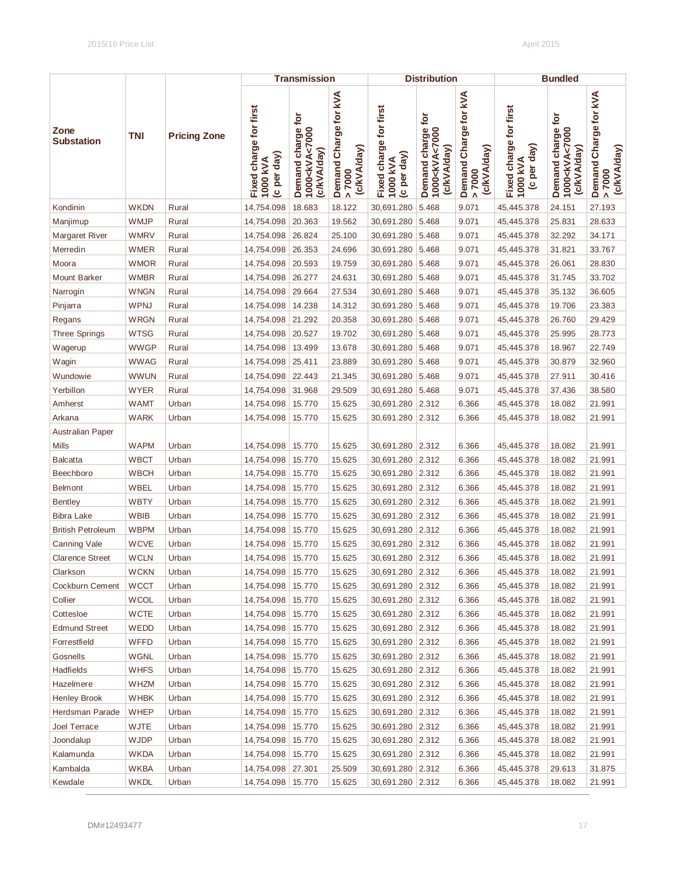|                           |             |                     |                                                   | <b>Transmission</b>                                              |                                                |                                                   | <b>Distribution</b>                                                        |                                                           |                                                   | <b>Bundled</b>                                                   |                                                |
|---------------------------|-------------|---------------------|---------------------------------------------------|------------------------------------------------------------------|------------------------------------------------|---------------------------------------------------|----------------------------------------------------------------------------|-----------------------------------------------------------|---------------------------------------------------|------------------------------------------------------------------|------------------------------------------------|
| Zone<br><b>Substation</b> | TNI         | <b>Pricing Zone</b> | Fixed charge for first<br>(c per day)<br>1000 kVA | Demand charge for<br>1000 <kva<7000<br>(c/kVA/day)</kva<7000<br> | Demand Charge for kVA<br>(c/kVA/day)<br>> 7000 | Fixed charge for first<br>(c per day)<br>1000 kVA | charge for<br>Demand charge<br>1000 <kva<7000<br>(c/kVA/day)</kva<7000<br> | Demand Charge for kVA<br>(c/kVA/day)<br>7000<br>$\Lambda$ | Fixed charge for first<br>(c per day)<br>1000 kVA | Demand charge for<br>1000 <kva<7000<br>(c/kVA/day)</kva<7000<br> | Demand Charge for kVA<br>(c/kVA/day)<br>> 7000 |
| Kondinin                  | <b>WKDN</b> | Rural               | 14,754.098                                        | 18.683                                                           | 18.122                                         | 30,691.280                                        | 5.468                                                                      | 9.071                                                     | 45,445.378                                        | 24.151                                                           | 27.193                                         |
| Manjimup                  | WMJP        | Rural               | 14,754.098                                        | 20.363                                                           | 19.562                                         | 30,691.280                                        | 5.468                                                                      | 9.071                                                     | 45,445.378                                        | 25.831                                                           | 28.633                                         |
| Margaret River            | <b>WMRV</b> | Rural               | 14,754.098                                        | 26.824                                                           | 25.100                                         | 30,691.280                                        | 5.468                                                                      | 9.071                                                     | 45,445.378                                        | 32.292                                                           | 34.171                                         |
| Merredin                  | WMER        | Rural               | 14,754.098                                        | 26.353                                                           | 24.696                                         | 30,691.280                                        | 5.468                                                                      | 9.071                                                     | 45,445.378                                        | 31.821                                                           | 33.767                                         |
| Moora                     | <b>WMOR</b> | Rural               | 14,754.098                                        | 20.593                                                           | 19.759                                         | 30,691.280                                        | 5.468                                                                      | 9.071                                                     | 45,445.378                                        | 26.061                                                           | 28.830                                         |
| <b>Mount Barker</b>       | <b>WMBR</b> | Rural               | 14,754.098                                        | 26.277                                                           | 24.631                                         | 30,691.280                                        | 5.468                                                                      | 9.071                                                     | 45,445.378                                        | 31.745                                                           | 33.702                                         |
| Narrogin                  | <b>WNGN</b> | Rural               | 14,754.098                                        | 29.664                                                           | 27.534                                         | 30,691.280                                        | 5.468                                                                      | 9.071                                                     | 45,445.378                                        | 35.132                                                           | 36.605                                         |
| Pinjarra                  | <b>WPNJ</b> | Rural               | 14,754.098                                        | 14.238                                                           | 14.312                                         | 30,691.280                                        | 5.468                                                                      | 9.071                                                     | 45,445.378                                        | 19.706                                                           | 23.383                                         |
| Regans                    | <b>WRGN</b> | Rural               | 14,754.098                                        | 21.292                                                           | 20.358                                         | 30,691.280                                        | 5.468                                                                      | 9.071                                                     | 45,445.378                                        | 26.760                                                           | 29.429                                         |
| <b>Three Springs</b>      | <b>WTSG</b> | Rural               | 14,754.098                                        | 20.527                                                           | 19.702                                         | 30,691.280                                        | 5.468                                                                      | 9.071                                                     | 45,445.378                                        | 25.995                                                           | 28.773                                         |
| Wagerup                   | <b>WWGP</b> | Rural               | 14,754.098                                        | 13.499                                                           | 13.678                                         | 30,691.280                                        | 5.468                                                                      | 9.071                                                     | 45,445.378                                        | 18.967                                                           | 22.749                                         |
| Wagin                     | <b>WWAG</b> | Rural               | 14,754.098                                        | 25.411                                                           | 23.889                                         | 30,691.280 5.468                                  |                                                                            | 9.071                                                     | 45,445.378                                        | 30.879                                                           | 32.960                                         |
| Wundowie                  | <b>WWUN</b> | Rural               | 14,754.098                                        | 22.443                                                           | 21.345                                         | 30,691.280                                        | 5.468                                                                      | 9.071                                                     | 45,445.378                                        | 27.911                                                           | 30.416                                         |
| Yerbillon                 | WYER        | Rural               | 14,754.098                                        | 31.968                                                           | 29.509                                         | 30,691.280                                        | 5.468                                                                      | 9.071                                                     | 45,445.378                                        | 37.436                                                           | 38.580                                         |
| Amherst                   | <b>WAMT</b> | Urban               | 14,754.098                                        | 15.770                                                           | 15.625                                         | 30,691.280                                        | 2.312                                                                      | 6.366                                                     | 45,445.378                                        | 18.082                                                           | 21.991                                         |
| Arkana                    | <b>WARK</b> | Urban               | 14,754.098                                        | 15.770                                                           | 15.625                                         | 30,691.280 2.312                                  |                                                                            | 6.366                                                     | 45,445.378                                        | 18.082                                                           | 21.991                                         |
| <b>Australian Paper</b>   |             |                     |                                                   |                                                                  |                                                |                                                   |                                                                            |                                                           |                                                   |                                                                  |                                                |
| Mills                     | <b>WAPM</b> | Urban               | 14,754.098                                        | 15.770                                                           | 15.625                                         | 30,691.280                                        | 2.312                                                                      | 6.366                                                     | 45,445.378                                        | 18.082                                                           | 21.991                                         |
| <b>Balcatta</b>           | WBCT        | Urban               | 14,754.098                                        | 15.770                                                           | 15.625                                         | 30,691.280 2.312                                  |                                                                            | 6.366                                                     | 45,445.378                                        | 18.082                                                           | 21.991                                         |
| Beechboro                 | WBCH        | Urban               | 14,754.098                                        | 15.770                                                           | 15.625                                         | 30,691.280 2.312                                  |                                                                            | 6.366                                                     | 45,445.378                                        | 18.082                                                           | 21.991                                         |
| <b>Belmont</b>            | WBEL        | Urban               | 14,754.098                                        | 15.770                                                           | 15.625                                         | 30,691.280 2.312                                  |                                                                            | 6.366                                                     | 45,445.378                                        | 18.082                                                           | 21.991                                         |
| <b>Bentley</b>            | <b>WBTY</b> | Urban               | 14,754.098                                        | 15.770                                                           | 15.625                                         | 30,691.280 2.312                                  |                                                                            | 6.366                                                     | 45,445.378                                        | 18.082                                                           | 21.991                                         |
| <b>Bibra Lake</b>         | <b>WBIB</b> | Urban               | 14,754.098                                        | 15.770                                                           | 15.625                                         | 30,691.280                                        | 2.312                                                                      | 6.366                                                     | 45,445.378                                        | 18.082                                                           | 21.991                                         |
| <b>British Petroleum</b>  | <b>WBPM</b> | Urban               | 14,754.098                                        | 15.770                                                           | 15.625                                         | 30,691.280                                        | 2.312                                                                      | 6.366                                                     | 45,445.378                                        | 18.082                                                           | 21.991                                         |
| <b>Canning Vale</b>       | <b>WCVE</b> | Urban               | 14,754.098                                        | 15.770                                                           | 15.625                                         | 30,691.280                                        | 2.312                                                                      | 6.366                                                     | 45,445.378                                        | 18.082                                                           | 21.991                                         |
| <b>Clarence Street</b>    | <b>WCLN</b> | Urban               | 14,754.098   15.770                               |                                                                  | 15.625                                         | 30,691.280 2.312                                  |                                                                            | 6.366                                                     | 45,445.378                                        | 18.082                                                           | 21.991                                         |
| Clarkson                  | <b>WCKN</b> | Urban               | 14,754.098 15.770                                 |                                                                  | 15.625                                         | 30,691.280 2.312                                  |                                                                            | 6.366                                                     | 45,445.378                                        | 18.082                                                           | 21.991                                         |
| Cockburn Cement           | <b>WCCT</b> | Urban               | 14,754.098   15.770                               |                                                                  | 15.625                                         | 30,691.280 2.312                                  |                                                                            | 6.366                                                     | 45,445.378                                        | 18.082                                                           | 21.991                                         |
| Collier                   | <b>WCOL</b> | Urban               | 14,754.098   15.770                               |                                                                  | 15.625                                         | 30,691.280 2.312                                  |                                                                            | 6.366                                                     | 45,445.378                                        | 18.082                                                           | 21.991                                         |
| Cottesloe                 | <b>WCTE</b> | Urban               | 14,754.098   15.770                               |                                                                  | 15.625                                         | 30,691.280 2.312                                  |                                                                            | 6.366                                                     | 45,445.378                                        | 18.082                                                           | 21.991                                         |
| <b>Edmund Street</b>      | WEDD        | Urban               | 14,754.098   15.770                               |                                                                  | 15.625                                         | 30,691.280 2.312                                  |                                                                            | 6.366                                                     | 45,445.378                                        | 18.082                                                           | 21.991                                         |
| Forrestfield              | <b>WFFD</b> | Urban               | 14,754.098   15.770                               |                                                                  | 15.625                                         | 30,691.280 2.312                                  |                                                                            | 6.366                                                     | 45,445.378                                        | 18.082                                                           | 21.991                                         |
| Gosnells                  | <b>WGNL</b> | Urban               | 14,754.098   15.770                               |                                                                  | 15.625                                         | 30,691.280 2.312                                  |                                                                            | 6.366                                                     | 45,445.378                                        | 18.082                                                           | 21.991                                         |
| Hadfields                 | <b>WHFS</b> | Urban               | 14,754.098   15.770                               |                                                                  | 15.625                                         | 30,691.280 2.312                                  |                                                                            | 6.366                                                     | 45,445.378                                        | 18.082                                                           | 21.991                                         |
| Hazelmere                 | <b>WHZM</b> | Urban               | 14,754.098   15.770                               |                                                                  | 15.625                                         | 30,691.280 2.312                                  |                                                                            | 6.366                                                     | 45,445.378                                        | 18.082                                                           | 21.991                                         |
| <b>Henley Brook</b>       | <b>WHBK</b> | Urban               | 14,754.098   15.770                               |                                                                  | 15.625                                         | 30,691.280 2.312                                  |                                                                            | 6.366                                                     | 45,445.378                                        | 18.082                                                           | 21.991                                         |
| Herdsman Parade           | <b>WHEP</b> | Urban               | 14,754.098   15.770                               |                                                                  | 15.625                                         | 30,691.280 2.312                                  |                                                                            | 6.366                                                     | 45,445.378                                        | 18.082                                                           | 21.991                                         |
| Joel Terrace              | <b>WJTE</b> | Urban               | 14,754.098   15.770                               |                                                                  | 15.625                                         | 30,691.280 2.312                                  |                                                                            | 6.366                                                     | 45,445.378                                        | 18.082                                                           | 21.991                                         |
| Joondalup                 | <b>WJDP</b> | Urban               | 14,754.098   15.770                               |                                                                  | 15.625                                         | 30,691.280 2.312                                  |                                                                            | 6.366                                                     | 45,445.378                                        | 18.082                                                           | 21.991                                         |
| Kalamunda                 | <b>WKDA</b> | Urban               | 14,754.098   15.770                               |                                                                  | 15.625                                         | 30,691.280 2.312                                  |                                                                            | 6.366                                                     | 45,445.378                                        | 18.082                                                           | 21.991                                         |
| Kambalda                  | WKBA        | Urban               | 14,754.098   27.301                               |                                                                  | 25.509                                         | 30,691.280 2.312                                  |                                                                            | 6.366                                                     | 45,445.378                                        | 29.613                                                           | 31.875                                         |
| Kewdale                   | <b>WKDL</b> | Urban               | 14,754.098   15.770                               |                                                                  | 15.625                                         | 30,691.280 2.312                                  |                                                                            | 6.366                                                     | 45,445.378                                        | 18.082                                                           | 21.991                                         |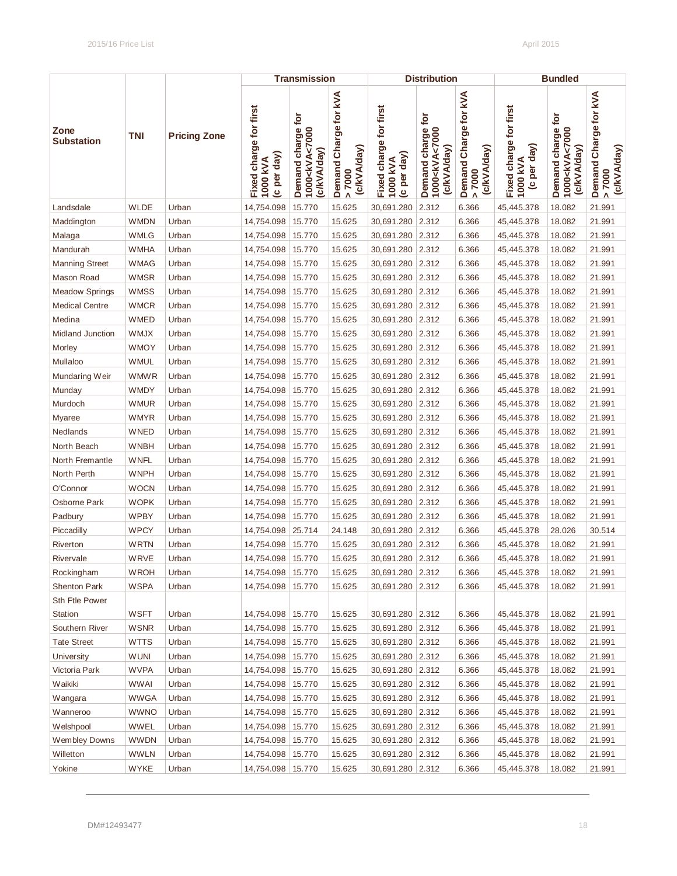|                           |             |                     |                                                   | <b>Transmission</b>                                              |                                                |                                                   | <b>Distribution</b>                                                        |                                              |                                                   | <b>Bundled</b>                                                   |                                                           |
|---------------------------|-------------|---------------------|---------------------------------------------------|------------------------------------------------------------------|------------------------------------------------|---------------------------------------------------|----------------------------------------------------------------------------|----------------------------------------------|---------------------------------------------------|------------------------------------------------------------------|-----------------------------------------------------------|
| Zone<br><b>Substation</b> | <b>TNI</b>  | <b>Pricing Zone</b> | Fixed charge for first<br>(c per day)<br>1000 kVA | Demand charge for<br>1000 <kva<7000<br>(c/kVA/day)</kva<7000<br> | Demand Charge for kVA<br>(c/kVA/day)<br>> 7000 | Fixed charge for first<br>(c per day)<br>1000 kVA | charge for<br>Demand charge<br>1000 <kva<7000<br>(c/kVA/day)</kva<7000<br> | Demand Charge for kVA<br>(c/kVA/day)<br>7000 | Fixed charge for first<br>(c per day)<br>1000 kVA | Demand charge for<br>1000 <kva<7000<br>(c/kVA/day)</kva<7000<br> | Demand Charge for kVA<br>(c/kVA/day)<br>7000<br>$\Lambda$ |
| Landsdale                 | <b>WLDE</b> | Urban               | 14,754.098                                        | 15.770                                                           | 15.625                                         | 30,691.280                                        | 2.312                                                                      | 6.366                                        | 45,445.378                                        | 18.082                                                           | 21.991                                                    |
| Maddington                | <b>WMDN</b> | Urban               | 14,754.098                                        | 15.770                                                           | 15.625                                         | 30,691.280                                        | 2.312                                                                      | 6.366                                        | 45,445.378                                        | 18.082                                                           | 21.991                                                    |
| Malaga                    | <b>WMLG</b> | Urban               | 14,754.098                                        | 15.770                                                           | 15.625                                         | 30,691.280                                        | 2.312                                                                      | 6.366                                        | 45,445.378                                        | 18.082                                                           | 21.991                                                    |
| Mandurah                  | <b>WMHA</b> | Urban               | 14,754.098                                        | 15.770                                                           | 15.625                                         | 30,691.280                                        | 2.312                                                                      | 6.366                                        | 45,445.378                                        | 18.082                                                           | 21.991                                                    |
| <b>Manning Street</b>     | WMAG        | Urban               | 14,754.098                                        | 15.770                                                           | 15.625                                         | 30,691.280                                        | 2.312                                                                      | 6.366                                        | 45,445.378                                        | 18.082                                                           | 21.991                                                    |
| Mason Road                | <b>WMSR</b> | Urban               | 14,754.098                                        | 15.770                                                           | 15.625                                         | 30,691.280                                        | 2.312                                                                      | 6.366                                        | 45,445.378                                        | 18.082                                                           | 21.991                                                    |
| <b>Meadow Springs</b>     | <b>WMSS</b> | Urban               | 14,754.098                                        | 15.770                                                           | 15.625                                         | 30,691.280                                        | 2.312                                                                      | 6.366                                        | 45,445.378                                        | 18.082                                                           | 21.991                                                    |
| <b>Medical Centre</b>     | <b>WMCR</b> | Urban               | 14,754.098                                        | 15.770                                                           | 15.625                                         | 30,691.280                                        | 2.312                                                                      | 6.366                                        | 45,445.378                                        | 18.082                                                           | 21.991                                                    |
| Medina                    | <b>WMED</b> | Urban               | 14,754.098                                        | 15.770                                                           | 15.625                                         | 30,691.280                                        | 2.312                                                                      | 6.366                                        | 45,445.378                                        | 18.082                                                           | 21.991                                                    |
| <b>Midland Junction</b>   | WMJX        | Urban               | 14,754.098                                        | 15.770                                                           | 15.625                                         | 30,691.280                                        | 2.312                                                                      | 6.366                                        | 45,445.378                                        | 18.082                                                           | 21.991                                                    |
| Morley                    | <b>WMOY</b> | Urban               | 14,754.098                                        | 15.770                                                           | 15.625                                         | 30,691.280 2.312                                  |                                                                            | 6.366                                        | 45,445.378                                        | 18.082                                                           | 21.991                                                    |
| Mullaloo                  | <b>WMUL</b> | Urban               | 14,754.098                                        | 15.770                                                           | 15.625                                         | 30,691.280 2.312                                  |                                                                            | 6.366                                        | 45,445.378                                        | 18.082                                                           | 21.991                                                    |
| Mundaring Weir            | <b>WMWR</b> | Urban               | 14,754.098                                        | 15.770                                                           | 15.625                                         | 30,691.280                                        | 2.312                                                                      | 6.366                                        | 45,445.378                                        | 18.082                                                           | 21.991                                                    |
| Munday                    | WMDY        | Urban               | 14,754.098                                        | 15.770                                                           | 15.625                                         | 30,691.280                                        | 2.312                                                                      | 6.366                                        | 45,445.378                                        | 18.082                                                           | 21.991                                                    |
| Murdoch                   | <b>WMUR</b> | Urban               | 14,754.098                                        | 15.770                                                           | 15.625                                         | 30,691.280                                        | 2.312                                                                      | 6.366                                        | 45,445.378                                        | 18.082                                                           | 21.991                                                    |
| Myaree                    | WMYR        | Urban               | 14,754.098                                        | 15.770                                                           | 15.625                                         | 30,691.280                                        | 2.312                                                                      | 6.366                                        | 45,445.378                                        | 18.082                                                           | 21.991                                                    |
| Nedlands                  | <b>WNED</b> | Urban               | 14,754.098                                        | 15.770                                                           | 15.625                                         | 30,691.280                                        | 2.312                                                                      | 6.366                                        | 45,445.378                                        | 18.082                                                           | 21.991                                                    |
| North Beach               | <b>WNBH</b> | Urban               | 14,754.098                                        | 15.770                                                           | 15.625                                         | 30,691.280                                        | 2.312                                                                      | 6.366                                        | 45,445.378                                        | 18.082                                                           | 21.991                                                    |
| North Fremantle           | WNFL        | Urban               | 14,754.098                                        | 15.770                                                           | 15.625                                         | 30,691.280 2.312                                  |                                                                            | 6.366                                        | 45,445.378                                        | 18.082                                                           | 21.991                                                    |
| North Perth               | <b>WNPH</b> | Urban               | 14,754.098                                        | 15.770                                                           | 15.625                                         | 30,691.280 2.312                                  |                                                                            | 6.366                                        | 45,445.378                                        | 18.082                                                           | 21.991                                                    |
| O'Connor                  | <b>WOCN</b> | Urban               | 14,754.098                                        | 15.770                                                           | 15.625                                         | 30,691.280                                        | 2.312                                                                      | 6.366                                        | 45,445.378                                        | 18.082                                                           | 21.991                                                    |
| Osborne Park              | <b>WOPK</b> | Urban               | 14,754.098                                        | 15.770                                                           | 15.625                                         | 30,691.280                                        | 2.312                                                                      | 6.366                                        | 45,445.378                                        | 18.082                                                           | 21.991                                                    |
| Padbury                   | <b>WPBY</b> | Urban               | 14,754.098                                        | 15.770                                                           | 15.625                                         | 30,691.280                                        | 2.312                                                                      | 6.366                                        | 45,445.378                                        | 18.082                                                           | 21.991                                                    |
| Piccadilly                | <b>WPCY</b> | Urban               | 14,754.098                                        | 25.714                                                           | 24.148                                         | 30,691.280                                        | 2.312                                                                      | 6.366                                        | 45,445.378                                        | 28.026                                                           | 30.514                                                    |
| Riverton                  | <b>WRTN</b> | Urban               | 14,754.098                                        | 15.770                                                           | 15.625                                         | 30,691.280                                        | 2.312                                                                      | 6.366                                        | 45,445.378                                        | 18.082                                                           | 21.991                                                    |
| Rivervale                 | <b>WRVE</b> | Urban               | 14,754.098                                        | 15.770                                                           | 15.625                                         | 30,691.280                                        | 2.312                                                                      | 6.366                                        | 45,445.378                                        | 18.082                                                           | 21.991                                                    |
| Rockingham                | WROH        | Urban               | 14,754.098   15.770                               |                                                                  | 15.625                                         | 30,691.280 2.312                                  |                                                                            | 6.366                                        | 45,445.378                                        | 18.082                                                           | 21.991                                                    |
| <b>Shenton Park</b>       | <b>WSPA</b> | Urban               | 14,754.098   15.770                               |                                                                  | 15.625                                         | 30,691.280 2.312                                  |                                                                            | 6.366                                        | 45,445.378                                        | 18.082                                                           | 21.991                                                    |
| Sth Ftle Power            |             |                     |                                                   |                                                                  |                                                |                                                   |                                                                            |                                              |                                                   |                                                                  |                                                           |
| Station                   | <b>WSFT</b> | Urban               | 14,754.098   15.770                               |                                                                  | 15.625                                         | 30,691.280 2.312                                  |                                                                            | 6.366                                        | 45,445.378                                        | 18.082                                                           | 21.991                                                    |
| Southern River            | <b>WSNR</b> | Urban               | 14,754.098                                        | 15.770                                                           | 15.625                                         | 30,691.280 2.312                                  |                                                                            | 6.366                                        | 45,445.378                                        | 18.082                                                           | 21.991                                                    |
| <b>Tate Street</b>        | WTTS        | Urban               | 14,754.098   15.770                               |                                                                  | 15.625                                         | 30,691.280 2.312                                  |                                                                            | 6.366                                        | 45,445.378                                        | 18.082                                                           | 21.991                                                    |
| University                | <b>WUNI</b> | Urban               | 14,754.098   15.770                               |                                                                  | 15.625                                         | 30,691.280 2.312                                  |                                                                            | 6.366                                        | 45,445.378                                        | 18.082                                                           | 21.991                                                    |
| Victoria Park             | <b>WVPA</b> | Urban               | 14,754.098   15.770                               |                                                                  | 15.625                                         | 30,691.280 2.312                                  |                                                                            | 6.366                                        | 45,445.378                                        | 18.082                                                           | 21.991                                                    |
| Waikiki                   | <b>WWAI</b> | Urban               | 14,754.098   15.770                               |                                                                  | 15.625                                         | 30,691.280 2.312                                  |                                                                            | 6.366                                        | 45,445.378                                        | 18.082                                                           | 21.991                                                    |
| Wangara                   | <b>WWGA</b> | Urban               | 14,754.098   15.770                               |                                                                  | 15.625                                         | 30,691.280 2.312                                  |                                                                            | 6.366                                        | 45,445.378                                        | 18.082                                                           | 21.991                                                    |
| Wanneroo                  | <b>WWNO</b> | Urban               | 14,754.098   15.770                               |                                                                  | 15.625                                         | 30,691.280 2.312                                  |                                                                            | 6.366                                        | 45,445.378                                        | 18.082                                                           | 21.991                                                    |
| Welshpool                 | <b>WWEL</b> | Urban               | 14,754.098   15.770                               |                                                                  | 15.625                                         | 30,691.280 2.312                                  |                                                                            | 6.366                                        | 45,445.378                                        | 18.082                                                           | 21.991                                                    |
| <b>Wembley Downs</b>      | <b>WWDN</b> | Urban               | 14,754.098   15.770                               |                                                                  | 15.625                                         | 30,691.280 2.312                                  |                                                                            | 6.366                                        | 45,445.378                                        | 18.082                                                           | 21.991                                                    |
| Willetton                 | <b>WWLN</b> | Urban               | 14,754.098   15.770                               |                                                                  | 15.625                                         | 30,691.280 2.312                                  |                                                                            | 6.366                                        | 45,445.378                                        | 18.082                                                           | 21.991                                                    |
| Yokine                    | <b>WYKE</b> | Urban               | 14,754.098   15.770                               |                                                                  | 15.625                                         | 30,691.280 2.312                                  |                                                                            | 6.366                                        | 45,445.378                                        | 18.082                                                           | 21.991                                                    |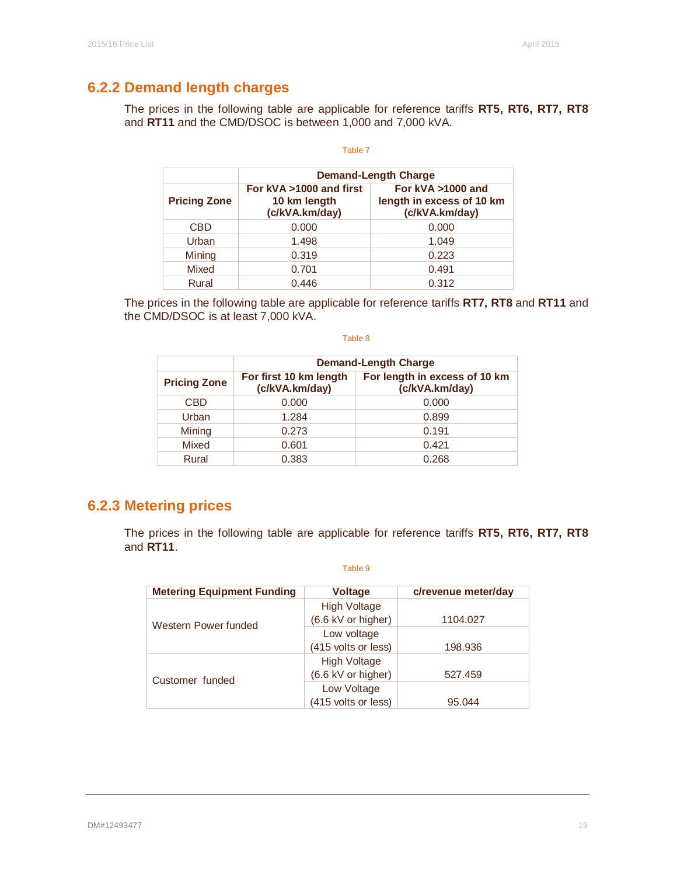# **6.2.2 Demand length charges**

The prices in the following table are applicable for reference tariffs **RT5, RT6, RT7, RT8**  and **RT11** and the CMD/DSOC is between 1,000 and 7,000 kVA.

#### Table 7

|                     | <b>Demand-Length Charge</b>                               |                                                                  |  |  |  |  |  |  |  |
|---------------------|-----------------------------------------------------------|------------------------------------------------------------------|--|--|--|--|--|--|--|
| <b>Pricing Zone</b> | For kVA >1000 and first<br>10 km length<br>(c/kVA.km/day) | For kVA >1000 and<br>length in excess of 10 km<br>(c/kVA.km/day) |  |  |  |  |  |  |  |
| <b>CBD</b>          | 0.000                                                     | 0.000                                                            |  |  |  |  |  |  |  |
| Urban               | 1.498                                                     | 1.049                                                            |  |  |  |  |  |  |  |
| Mining              | 0.319                                                     | 0.223                                                            |  |  |  |  |  |  |  |
| Mixed               | 0.701                                                     | 0.491                                                            |  |  |  |  |  |  |  |
| Rural               | 0.446                                                     | 0.312                                                            |  |  |  |  |  |  |  |

The prices in the following table are applicable for reference tariffs **RT7, RT8** and **RT11** and the CMD/DSOC is at least 7,000 kVA.

#### Table 8

|                     | Demand-Length Charge                                                                        |       |  |  |
|---------------------|---------------------------------------------------------------------------------------------|-------|--|--|
| <b>Pricing Zone</b> | For length in excess of 10 km<br>For first 10 km length<br>(c/kVA.km/day)<br>(c/kVA.km/day) |       |  |  |
| <b>CBD</b>          | 0.000                                                                                       | 0.000 |  |  |
| Urban               | 1.284                                                                                       | 0.899 |  |  |
| Mining              | 0.273                                                                                       | 0.191 |  |  |
| Mixed               | 0.601                                                                                       | 0.421 |  |  |
| Rural               | 0.383                                                                                       | 0.268 |  |  |

# **6.2.3 Metering prices**

The prices in the following table are applicable for reference tariffs **RT5, RT6, RT7, RT8**  and **RT11**.

| <b>Metering Equipment Funding</b> | <b>Voltage</b>      | c/revenue meter/day |
|-----------------------------------|---------------------|---------------------|
|                                   | <b>High Voltage</b> |                     |
| Western Power funded              | (6.6 kV or higher)  | 1104.027            |
|                                   | Low voltage         |                     |
|                                   | (415 volts or less) | 198.936             |
|                                   | <b>High Voltage</b> |                     |
| Customer funded                   | (6.6 kV or higher)  | 527.459             |
|                                   | Low Voltage         |                     |
|                                   | (415 volts or less) | 95.044              |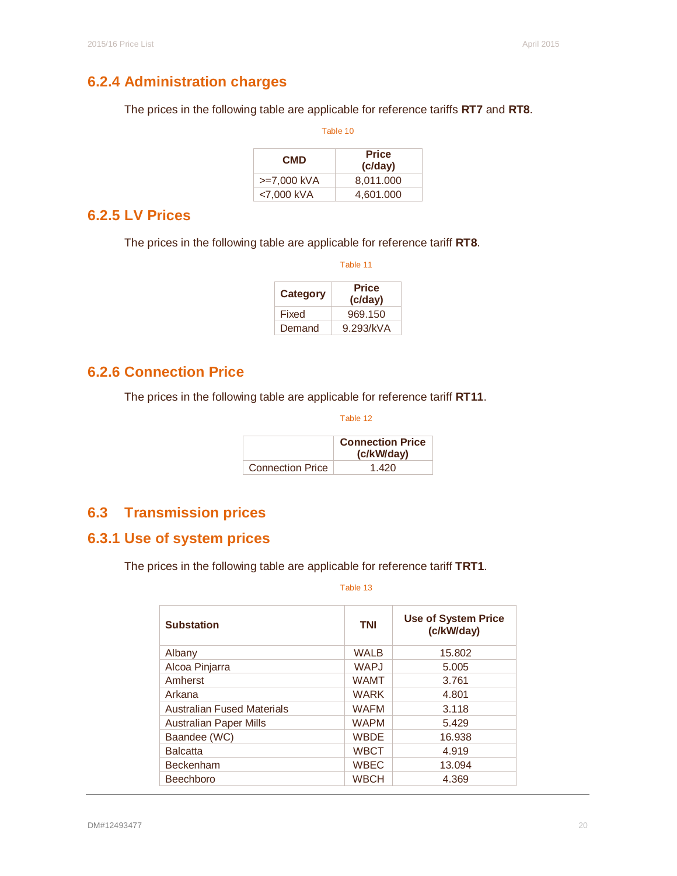# **6.2.4 Administration charges**

The prices in the following table are applicable for reference tariffs **RT7** and **RT8**.

| Table 10    |                         |  |
|-------------|-------------------------|--|
| <b>CMD</b>  | <b>Price</b><br>(c/day) |  |
| >=7,000 kVA | 8,011.000               |  |
| <7,000 kVA  | 4,601.000               |  |

# **6.2.5 LV Prices**

The prices in the following table are applicable for reference tariff **RT8**.

| Table 11 |                         |  |
|----------|-------------------------|--|
| Category | <b>Price</b><br>(c/day) |  |
| Fixed    | 969.150                 |  |
| Demand   | 9.293/kVA               |  |

# **6.2.6 Connection Price**

The prices in the following table are applicable for reference tariff **RT11**.

Table 12

|                         | <b>Connection Price</b><br>(c/kW/day) |
|-------------------------|---------------------------------------|
| <b>Connection Price</b> | 1.420                                 |

# **6.3 Transmission prices**

# **6.3.1 Use of system prices**

The prices in the following table are applicable for reference tariff **TRT1**.

| <b>Substation</b>                 | <b>TNI</b>  | <b>Use of System Price</b><br>(c/kW/day) |  |
|-----------------------------------|-------------|------------------------------------------|--|
| Albany                            | <b>WALB</b> | 15.802                                   |  |
| Alcoa Pinjarra                    | <b>WAPJ</b> | 5.005                                    |  |
| Amherst                           | <b>WAMT</b> | 3.761                                    |  |
| Arkana                            | <b>WARK</b> | 4.801                                    |  |
| <b>Australian Fused Materials</b> | <b>WAFM</b> | 3.118                                    |  |
| <b>Australian Paper Mills</b>     | <b>WAPM</b> | 5.429                                    |  |
| Baandee (WC)                      | <b>WBDE</b> | 16.938                                   |  |
| <b>Balcatta</b>                   | <b>WBCT</b> | 4.919                                    |  |
| <b>Beckenham</b>                  | <b>WBEC</b> | 13.094                                   |  |
| <b>Beechboro</b>                  | <b>WBCH</b> | 4.369                                    |  |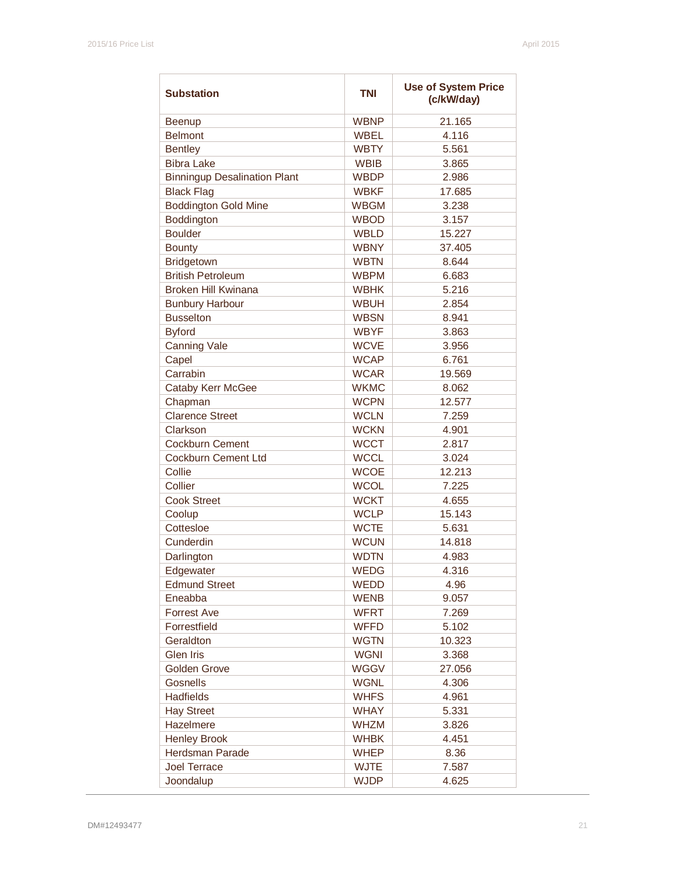| <b>Substation</b>                   | <b>TNI</b>                 | <b>Use of System Price</b><br>(c/kW/day) |
|-------------------------------------|----------------------------|------------------------------------------|
| Beenup                              | <b>WBNP</b>                | 21.165                                   |
| <b>Belmont</b>                      | <b>WBEL</b>                | 4.116                                    |
| <b>Bentley</b>                      | <b>WBTY</b>                | 5.561                                    |
| <b>Bibra Lake</b>                   | <b>WBIB</b>                | 3.865                                    |
| <b>Binningup Desalination Plant</b> | <b>WBDP</b>                | 2.986                                    |
| <b>Black Flag</b>                   | <b>WBKF</b>                | 17.685                                   |
| <b>Boddington Gold Mine</b>         | <b>WBGM</b>                | 3.238                                    |
| Boddington                          | <b>WBOD</b>                | 3.157                                    |
| <b>Boulder</b>                      | <b>WBLD</b>                | 15.227                                   |
| <b>Bounty</b>                       | <b>WBNY</b>                | 37.405                                   |
| Bridgetown                          | <b>WBTN</b>                | 8.644                                    |
| <b>British Petroleum</b>            | <b>WBPM</b>                | 6.683                                    |
| <b>Broken Hill Kwinana</b>          | <b>WBHK</b>                | 5.216                                    |
| <b>Bunbury Harbour</b>              | <b>WBUH</b>                | 2.854                                    |
| <b>Busselton</b>                    | <b>WBSN</b>                | 8.941                                    |
| <b>Byford</b>                       | <b>WBYF</b>                | 3.863                                    |
| <b>Canning Vale</b>                 | <b>WCVE</b>                | 3.956                                    |
| Capel                               | <b>WCAP</b>                | 6.761                                    |
| Carrabin                            | <b>WCAR</b>                | 19.569                                   |
| <b>Cataby Kerr McGee</b>            | <b>WKMC</b>                | 8.062                                    |
| Chapman                             | <b>WCPN</b>                | 12.577                                   |
| <b>Clarence Street</b>              | <b>WCLN</b>                | 7.259                                    |
| Clarkson                            | <b>WCKN</b>                | 4.901                                    |
| <b>Cockburn Cement</b>              | <b>WCCT</b>                | 2.817                                    |
|                                     |                            |                                          |
| <b>Cockburn Cement Ltd</b>          | <b>WCCL</b>                | 3.024                                    |
| Collie<br>Collier                   | <b>WCOE</b><br><b>WCOL</b> | 12.213                                   |
|                                     |                            | 7.225                                    |
| <b>Cook Street</b>                  | <b>WCKT</b>                | 4.655                                    |
| Coolup<br>Cottesloe                 | <b>WCLP</b>                | 15.143                                   |
| Cunderdin                           | <b>WCTE</b>                | 5.631                                    |
|                                     | <b>WCUN</b>                | 14.818                                   |
| Darlington                          | <b>WDTN</b>                | 4.983                                    |
| Edgewater                           | WEDG                       | 4.316                                    |
| <b>Edmund Street</b>                | WEDD                       | 4.96                                     |
| Eneabba                             | <b>WENB</b>                | 9.057                                    |
| <b>Forrest Ave</b>                  | <b>WFRT</b>                | 7.269                                    |
| Forrestfield                        | <b>WFFD</b>                | 5.102                                    |
| Geraldton                           | <b>WGTN</b>                | 10.323                                   |
| <b>Glen Iris</b>                    | <b>WGNI</b>                | 3.368                                    |
| <b>Golden Grove</b>                 | <b>WGGV</b>                | 27.056                                   |
| Gosnells                            | <b>WGNL</b>                | 4.306                                    |
| Hadfields                           | <b>WHFS</b>                | 4.961                                    |
| <b>Hay Street</b>                   | <b>WHAY</b>                | 5.331                                    |
| Hazelmere                           | <b>WHZM</b>                | 3.826                                    |
| <b>Henley Brook</b>                 | <b>WHBK</b>                | 4.451                                    |
| Herdsman Parade                     | <b>WHEP</b>                | 8.36                                     |
| <b>Joel Terrace</b>                 | <b>WJTE</b>                | 7.587                                    |
| Joondalup                           | <b>WJDP</b>                | 4.625                                    |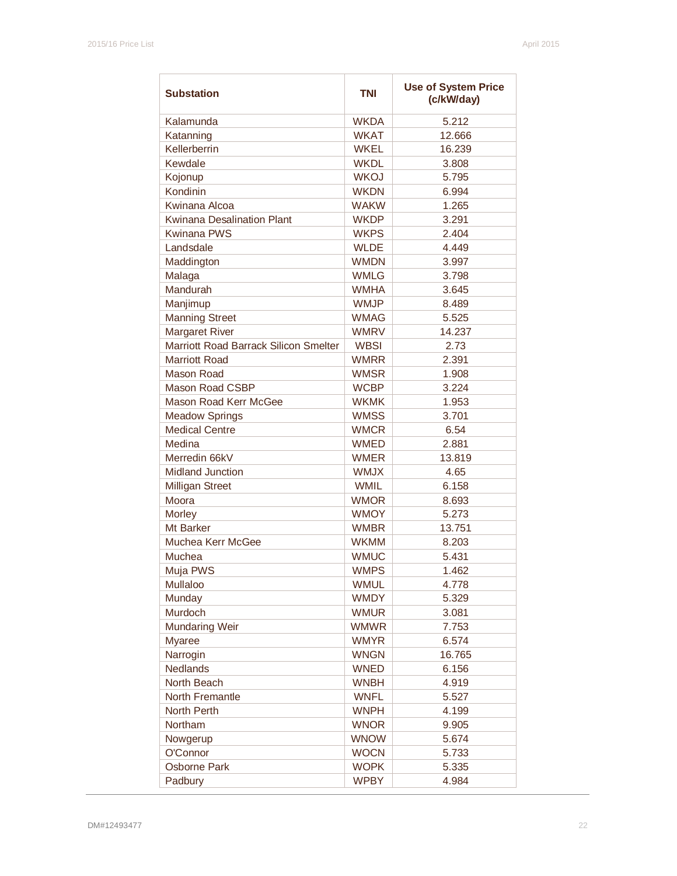| <b>Substation</b>                     | <b>TNI</b>  | <b>Use of System Price</b><br>(c/kW/day) |
|---------------------------------------|-------------|------------------------------------------|
| Kalamunda                             | <b>WKDA</b> | 5.212                                    |
| Katanning                             | <b>WKAT</b> | 12.666                                   |
| Kellerberrin                          | <b>WKEL</b> | 16.239                                   |
| Kewdale                               | <b>WKDL</b> | 3.808                                    |
| Kojonup                               | <b>WKOJ</b> | 5.795                                    |
| Kondinin                              | <b>WKDN</b> | 6.994                                    |
| Kwinana Alcoa                         | <b>WAKW</b> | 1.265                                    |
| <b>Kwinana Desalination Plant</b>     | <b>WKDP</b> | 3.291                                    |
| <b>Kwinana PWS</b>                    | <b>WKPS</b> | 2.404                                    |
| Landsdale                             | <b>WLDE</b> | 4.449                                    |
| Maddington                            | <b>WMDN</b> | 3.997                                    |
| Malaga                                | <b>WMLG</b> | 3.798                                    |
| Mandurah                              | <b>WMHA</b> | 3.645                                    |
| Manjimup                              | <b>WMJP</b> | 8.489                                    |
| <b>Manning Street</b>                 | <b>WMAG</b> | 5.525                                    |
| <b>Margaret River</b>                 | <b>WMRV</b> | 14.237                                   |
| Marriott Road Barrack Silicon Smelter | <b>WBSI</b> | 2.73                                     |
| <b>Marriott Road</b>                  | <b>WMRR</b> | 2.391                                    |
| <b>Mason Road</b>                     | <b>WMSR</b> | 1.908                                    |
| <b>Mason Road CSBP</b>                | <b>WCBP</b> | 3.224                                    |
| Mason Road Kerr McGee                 | <b>WKMK</b> | 1.953                                    |
| <b>Meadow Springs</b>                 | <b>WMSS</b> | 3.701                                    |
| <b>Medical Centre</b>                 | <b>WMCR</b> | 6.54                                     |
| Medina                                | <b>WMED</b> | 2.881                                    |
| Merredin 66kV                         | <b>WMER</b> | 13.819                                   |
| <b>Midland Junction</b>               | <b>WMJX</b> | 4.65                                     |
| <b>Milligan Street</b>                | <b>WMIL</b> | 6.158                                    |
| Moora                                 | <b>WMOR</b> | 8.693                                    |
| Morley                                | <b>WMOY</b> | 5.273                                    |
| Mt Barker                             | <b>WMBR</b> | 13.751                                   |
| Muchea Kerr McGee                     | <b>WKMM</b> | 8.203                                    |
| Muchea                                | <b>WMUC</b> | 5.431                                    |
| Muja PWS                              | <b>WMPS</b> | 1.462                                    |
| Mullaloo                              | <b>WMUL</b> | 4.778                                    |
| Munday                                | <b>WMDY</b> | 5.329                                    |
| Murdoch                               | <b>WMUR</b> | 3.081                                    |
| <b>Mundaring Weir</b>                 | <b>WMWR</b> | 7.753                                    |
| <b>Myaree</b>                         | <b>WMYR</b> | 6.574                                    |
| Narrogin                              | <b>WNGN</b> | 16.765                                   |
| <b>Nedlands</b>                       | <b>WNED</b> | 6.156                                    |
| North Beach                           | <b>WNBH</b> | 4.919                                    |
| North Fremantle                       | <b>WNFL</b> | 5.527                                    |
| North Perth                           | <b>WNPH</b> | 4.199                                    |
| Northam                               | <b>WNOR</b> | 9.905                                    |
| Nowgerup                              | <b>WNOW</b> | 5.674                                    |
| O'Connor                              | <b>WOCN</b> | 5.733                                    |
| <b>Osborne Park</b>                   | <b>WOPK</b> | 5.335                                    |
| Padbury                               | <b>WPBY</b> | 4.984                                    |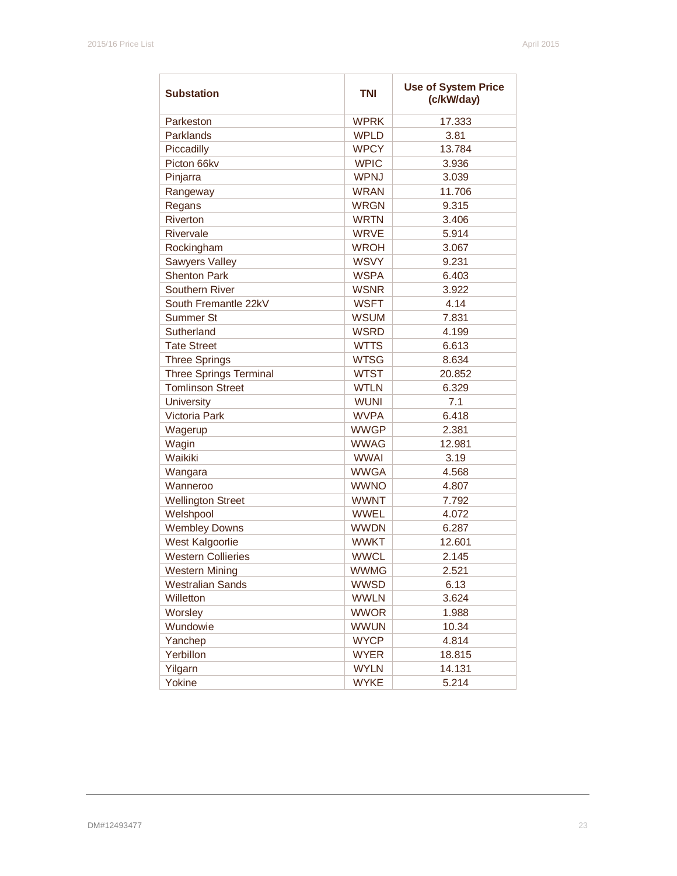| <b>Substation</b>             | <b>TNI</b>  | <b>Use of System Price</b><br>(c/kW/day) |
|-------------------------------|-------------|------------------------------------------|
| Parkeston                     | <b>WPRK</b> | 17.333                                   |
| Parklands                     | <b>WPLD</b> | 3.81                                     |
| Piccadilly                    | <b>WPCY</b> | 13.784                                   |
| Picton 66kv                   | <b>WPIC</b> | 3.936                                    |
| Pinjarra                      | <b>WPNJ</b> | 3.039                                    |
| Rangeway                      | <b>WRAN</b> | 11.706                                   |
| Regans                        | <b>WRGN</b> | 9.315                                    |
| Riverton                      | <b>WRTN</b> | 3.406                                    |
| Rivervale                     | <b>WRVE</b> | 5.914                                    |
| Rockingham                    | <b>WROH</b> | 3.067                                    |
| <b>Sawyers Valley</b>         | <b>WSVY</b> | 9.231                                    |
| <b>Shenton Park</b>           | <b>WSPA</b> | 6.403                                    |
| Southern River                | <b>WSNR</b> | 3.922                                    |
| South Fremantle 22kV          | <b>WSFT</b> | 4.14                                     |
| <b>Summer St</b>              | <b>WSUM</b> | 7.831                                    |
| Sutherland                    | <b>WSRD</b> | 4.199                                    |
| <b>Tate Street</b>            | <b>WTTS</b> | 6.613                                    |
| <b>Three Springs</b>          | <b>WTSG</b> | 8.634                                    |
| <b>Three Springs Terminal</b> | <b>WTST</b> | 20.852                                   |
| <b>Tomlinson Street</b>       | <b>WTLN</b> | 6.329                                    |
| University                    | <b>WUNI</b> | 7.1                                      |
| Victoria Park                 | <b>WVPA</b> | 6.418                                    |
| Wagerup                       | <b>WWGP</b> | 2.381                                    |
| Wagin                         | <b>WWAG</b> | 12.981                                   |
| Waikiki                       | <b>WWAI</b> | 3.19                                     |
| Wangara                       | <b>WWGA</b> | 4.568                                    |
| Wanneroo                      | <b>WWNO</b> | 4.807                                    |
| <b>Wellington Street</b>      | <b>WWNT</b> | 7.792                                    |
| Welshpool                     | <b>WWEL</b> | 4.072                                    |
| <b>Wembley Downs</b>          | <b>WWDN</b> | 6.287                                    |
| West Kalgoorlie               | <b>WWKT</b> | 12.601                                   |
| <b>Western Collieries</b>     | <b>WWCL</b> | 2.145                                    |
| <b>Western Mining</b>         | <b>WWMG</b> | 2.521                                    |
| <b>Westralian Sands</b>       | <b>WWSD</b> | 6.13                                     |
| Willetton                     | <b>WWLN</b> | 3.624                                    |
| Worsley                       | <b>WWOR</b> | 1.988                                    |
| Wundowie                      | <b>WWUN</b> | 10.34                                    |
| Yanchep                       | <b>WYCP</b> | 4.814                                    |
| Yerbillon                     | <b>WYER</b> | 18.815                                   |
| Yilgarn                       | <b>WYLN</b> | 14.131                                   |
| Yokine                        | <b>WYKE</b> | 5.214                                    |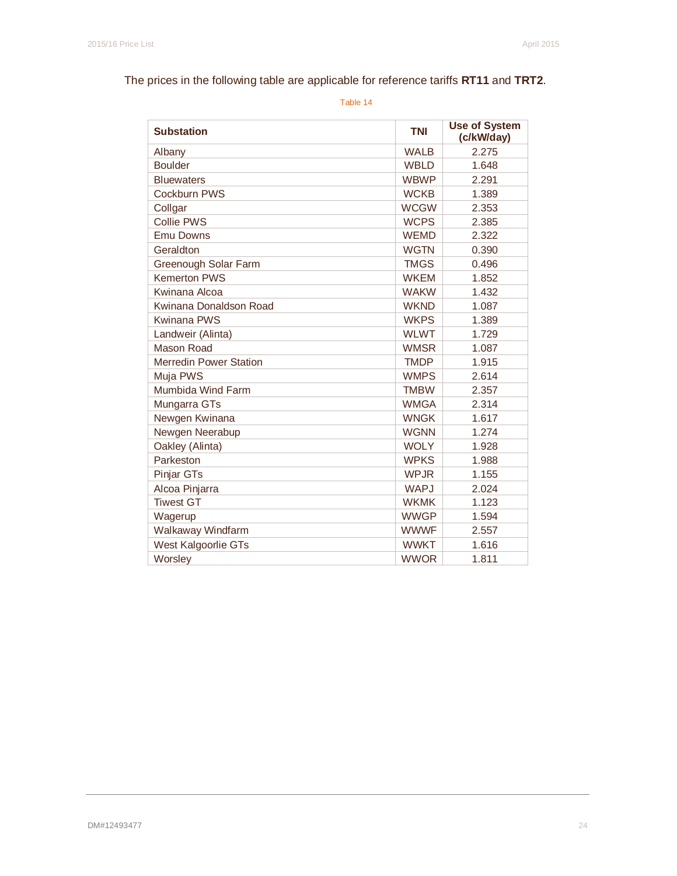# The prices in the following table are applicable for reference tariffs **RT11** and **TRT2**.

| <b>Substation</b>             | <b>TNI</b>  | <b>Use of System</b><br>(c/kW/day) |
|-------------------------------|-------------|------------------------------------|
| Albany                        | <b>WALB</b> | 2.275                              |
| <b>Boulder</b>                | <b>WBLD</b> | 1.648                              |
| <b>Bluewaters</b>             | <b>WBWP</b> | 2.291                              |
| <b>Cockburn PWS</b>           | <b>WCKB</b> | 1.389                              |
| Collgar                       | <b>WCGW</b> | 2.353                              |
| <b>Collie PWS</b>             | <b>WCPS</b> | 2.385                              |
| <b>Emu Downs</b>              | <b>WEMD</b> | 2.322                              |
| Geraldton                     | <b>WGTN</b> | 0.390                              |
| Greenough Solar Farm          | <b>TMGS</b> | 0.496                              |
| <b>Kemerton PWS</b>           | <b>WKEM</b> | 1.852                              |
| Kwinana Alcoa                 | <b>WAKW</b> | 1.432                              |
| Kwinana Donaldson Road        | <b>WKND</b> | 1.087                              |
| <b>Kwinana PWS</b>            | <b>WKPS</b> | 1.389                              |
| Landweir (Alinta)             | <b>WLWT</b> | 1.729                              |
| Mason Road                    | <b>WMSR</b> | 1.087                              |
| <b>Merredin Power Station</b> | <b>TMDP</b> | 1.915                              |
| Muja PWS                      | <b>WMPS</b> | 2.614                              |
| Mumbida Wind Farm             | <b>TMBW</b> | 2.357                              |
| Mungarra GTs                  | <b>WMGA</b> | 2.314                              |
| Newgen Kwinana                | <b>WNGK</b> | 1.617                              |
| Newgen Neerabup               | <b>WGNN</b> | 1.274                              |
| Oakley (Alinta)               | <b>WOLY</b> | 1.928                              |
| Parkeston                     | <b>WPKS</b> | 1.988                              |
| Pinjar GTs                    | <b>WPJR</b> | 1.155                              |
| Alcoa Pinjarra                | <b>WAPJ</b> | 2.024                              |
| <b>Tiwest GT</b>              | <b>WKMK</b> | 1.123                              |
| Wagerup                       | <b>WWGP</b> | 1.594                              |
| Walkaway Windfarm             | <b>WWWF</b> | 2.557                              |
| West Kalgoorlie GTs           | <b>WWKT</b> | 1.616                              |
| Worsley                       | <b>WWOR</b> | 1.811                              |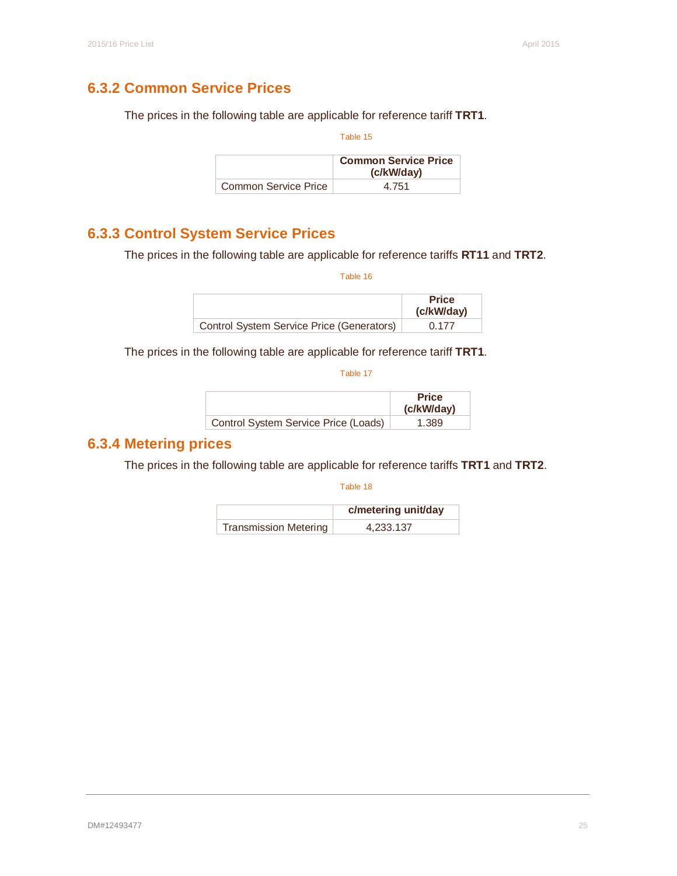# **6.3.2 Common Service Prices**

The prices in the following table are applicable for reference tariff **TRT1**.

Table 15

|                      | <b>Common Service Price</b><br>(c/kW/day) |
|----------------------|-------------------------------------------|
| Common Service Price | 4.751                                     |

# **6.3.3 Control System Service Prices**

The prices in the following table are applicable for reference tariffs **RT11** and **TRT2**.

Table 16

|                                           | <b>Price</b><br>(c/kW/day) |
|-------------------------------------------|----------------------------|
| Control System Service Price (Generators) | 0.177                      |

The prices in the following table are applicable for reference tariff **TRT1**.

Table 17

|                                      | <b>Price</b><br>(c/kW/day) |
|--------------------------------------|----------------------------|
| Control System Service Price (Loads) | 1.389                      |

# **6.3.4 Metering prices**

The prices in the following table are applicable for reference tariffs **TRT1** and **TRT2**.

|                       | c/metering unit/day |
|-----------------------|---------------------|
| Transmission Metering | 4,233.137           |